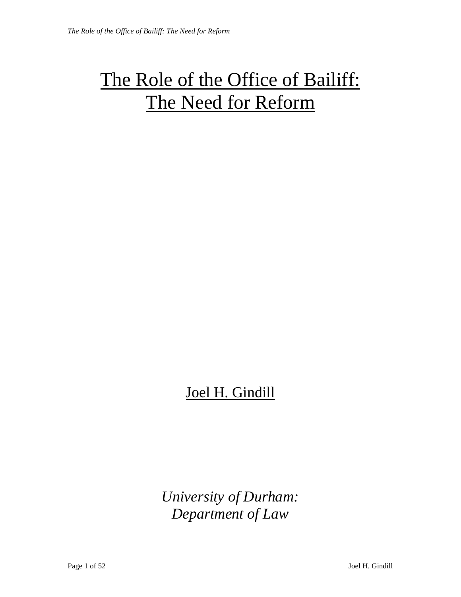# The Role of the Office of Bailiff: The Need for Reform

## Joel H. Gindill

*University of Durham: Department of Law*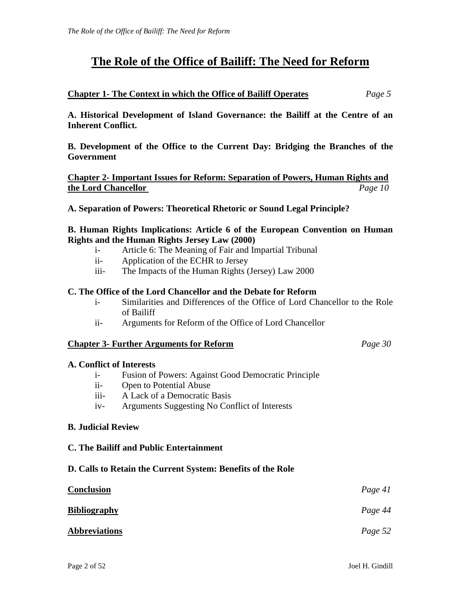### **The Role of the Office of Bailiff: The Need for Reform**

#### **Chapter 1- The Context in which the Office of Bailiff Operates** *Page 5*

**A. Historical Development of Island Governance: the Bailiff at the Centre of an Inherent Conflict.** 

**B. Development of the Office to the Current Day: Bridging the Branches of the Government** 

**Chapter 2- Important Issues for Reform: Separation of Powers, Human Rights and the Lord Chancellor** *Page 10*

**A. Separation of Powers: Theoretical Rhetoric or Sound Legal Principle?** 

#### **B. Human Rights Implications: Article 6 of the European Convention on Human Rights and the Human Rights Jersey Law (2000)**

- i- Article 6: The Meaning of Fair and Impartial Tribunal
- ii- Application of the ECHR to Jersey
- iii- The Impacts of the Human Rights (Jersey) Law 2000

#### **C. The Office of the Lord Chancellor and the Debate for Reform**

- i- Similarities and Differences of the Office of Lord Chancellor to the Role of Bailiff
- ii- Arguments for Reform of the Office of Lord Chancellor

#### **Chapter 3- Further Arguments for Reform** *Page 30*

#### **A. Conflict of Interests**

- i- Fusion of Powers: Against Good Democratic Principle
- ii- Open to Potential Abuse
- iii- A Lack of a Democratic Basis
- iv- Arguments Suggesting No Conflict of Interests

#### **B. Judicial Review**

#### **C. The Bailiff and Public Entertainment**

#### **D. Calls to Retain the Current System: Benefits of the Role**

| <b>Conclusion</b>    | Page 41 |
|----------------------|---------|
| <u>Bibliography</u>  | Page 44 |
| <b>Abbreviations</b> | Page 52 |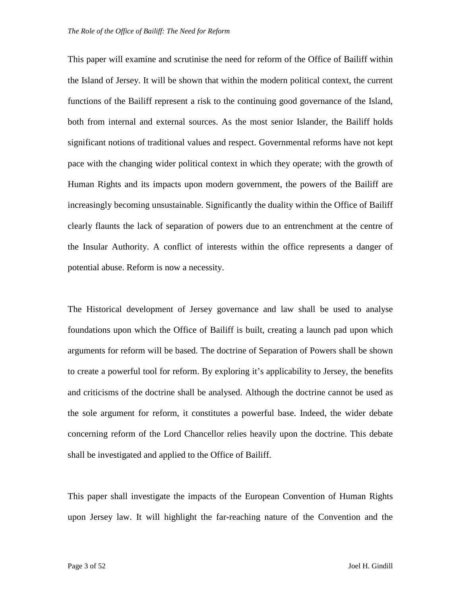This paper will examine and scrutinise the need for reform of the Office of Bailiff within the Island of Jersey. It will be shown that within the modern political context, the current functions of the Bailiff represent a risk to the continuing good governance of the Island, both from internal and external sources. As the most senior Islander, the Bailiff holds significant notions of traditional values and respect. Governmental reforms have not kept pace with the changing wider political context in which they operate; with the growth of Human Rights and its impacts upon modern government, the powers of the Bailiff are increasingly becoming unsustainable. Significantly the duality within the Office of Bailiff clearly flaunts the lack of separation of powers due to an entrenchment at the centre of the Insular Authority. A conflict of interests within the office represents a danger of potential abuse. Reform is now a necessity.

The Historical development of Jersey governance and law shall be used to analyse foundations upon which the Office of Bailiff is built, creating a launch pad upon which arguments for reform will be based. The doctrine of Separation of Powers shall be shown to create a powerful tool for reform. By exploring it's applicability to Jersey, the benefits and criticisms of the doctrine shall be analysed. Although the doctrine cannot be used as the sole argument for reform, it constitutes a powerful base. Indeed, the wider debate concerning reform of the Lord Chancellor relies heavily upon the doctrine. This debate shall be investigated and applied to the Office of Bailiff.

This paper shall investigate the impacts of the European Convention of Human Rights upon Jersey law. It will highlight the far-reaching nature of the Convention and the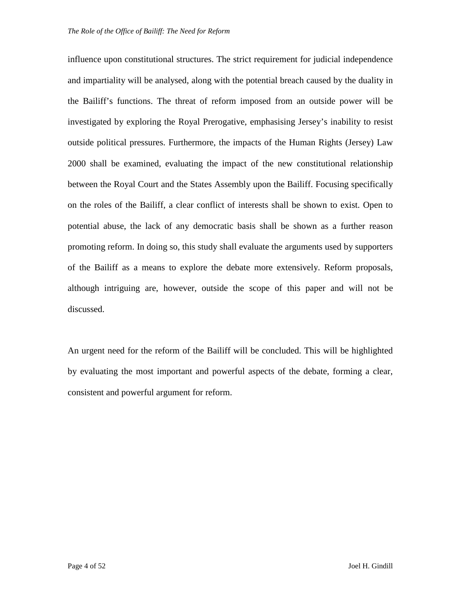influence upon constitutional structures. The strict requirement for judicial independence and impartiality will be analysed, along with the potential breach caused by the duality in the Bailiff's functions. The threat of reform imposed from an outside power will be investigated by exploring the Royal Prerogative, emphasising Jersey's inability to resist outside political pressures. Furthermore, the impacts of the Human Rights (Jersey) Law 2000 shall be examined, evaluating the impact of the new constitutional relationship between the Royal Court and the States Assembly upon the Bailiff. Focusing specifically on the roles of the Bailiff, a clear conflict of interests shall be shown to exist. Open to potential abuse, the lack of any democratic basis shall be shown as a further reason promoting reform. In doing so, this study shall evaluate the arguments used by supporters of the Bailiff as a means to explore the debate more extensively. Reform proposals, although intriguing are, however, outside the scope of this paper and will not be discussed.

An urgent need for the reform of the Bailiff will be concluded. This will be highlighted by evaluating the most important and powerful aspects of the debate, forming a clear, consistent and powerful argument for reform.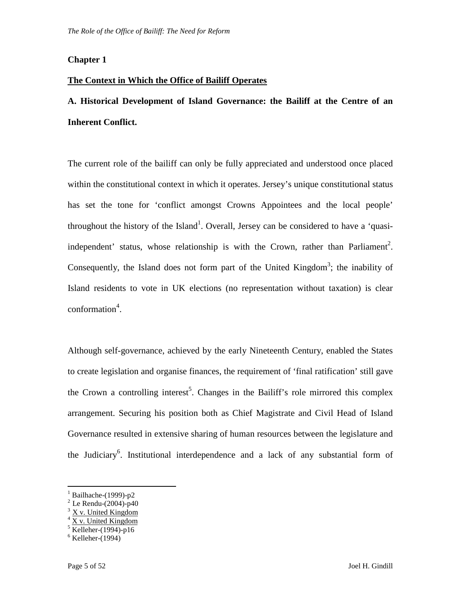#### **Chapter 1**

#### **The Context in Which the Office of Bailiff Operates**

### **A. Historical Development of Island Governance: the Bailiff at the Centre of an Inherent Conflict.**

The current role of the bailiff can only be fully appreciated and understood once placed within the constitutional context in which it operates. Jersey's unique constitutional status has set the tone for 'conflict amongst Crowns Appointees and the local people' throughout the history of the Island<sup>1</sup>. Overall, Jersey can be considered to have a 'quasiindependent' status, whose relationship is with the Crown, rather than Parliament<sup>2</sup>. Consequently, the Island does not form part of the United Kingdom<sup>3</sup>; the inability of Island residents to vote in UK elections (no representation without taxation) is clear  $conformation<sup>4</sup>$ .

Although self-governance, achieved by the early Nineteenth Century, enabled the States to create legislation and organise finances, the requirement of 'final ratification' still gave the Crown a controlling interest<sup>5</sup>. Changes in the Bailiff's role mirrored this complex arrangement. Securing his position both as Chief Magistrate and Civil Head of Island Governance resulted in extensive sharing of human resources between the legislature and the Judiciary<sup>6</sup>. Institutional interdependence and a lack of any substantial form of

-

<sup>1</sup> Bailhache-(1999)-p2

 $2$  Le Rendu-(2004)-p40

 $3 \text{ X}$  v. United Kingdom

<sup>4</sup> X v. United Kingdom

<sup>5</sup> Kelleher*-*(1994)-p16

<sup>6</sup> Kelleher*-*(1994)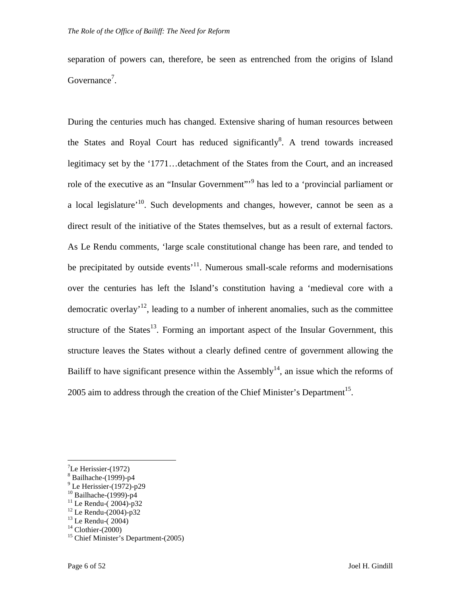separation of powers can, therefore, be seen as entrenched from the origins of Island Governance<sup>7</sup>.

During the centuries much has changed. Extensive sharing of human resources between the States and Royal Court has reduced significantly<sup>8</sup>. A trend towards increased legitimacy set by the '1771…detachment of the States from the Court, and an increased role of the executive as an "Insular Government"<sup>9</sup> has led to a 'provincial parliament or a local legislature<sup>'10</sup>. Such developments and changes, however, cannot be seen as a direct result of the initiative of the States themselves, but as a result of external factors. As Le Rendu comments, 'large scale constitutional change has been rare, and tended to be precipitated by outside events<sup> $11$ </sup>. Numerous small-scale reforms and modernisations over the centuries has left the Island's constitution having a 'medieval core with a democratic overlay<sup>12</sup>, leading to a number of inherent anomalies, such as the committee structure of the States<sup>13</sup>. Forming an important aspect of the Insular Government, this structure leaves the States without a clearly defined centre of government allowing the Bailiff to have significant presence within the Assembly<sup>14</sup>, an issue which the reforms of 2005 aim to address through the creation of the Chief Minister's Department<sup>15</sup>.

 $\mathrm{^{7}Le}$  Herissier-(1972)

<sup>8</sup> Bailhache-(1999)-p4

<sup>&</sup>lt;sup>9</sup> Le Herissier-(1972)-p29

 $10$  Bailhache-(1999)-p4

 $11$  Le Rendu-(2004)-p32

 $12$  Le Rendu-(2004)-p32

 $13$  Le Rendu- $(2004)$ 

 $14$  Clothier-(2000)

<sup>&</sup>lt;sup>15</sup> Chief Minister's Department-(2005)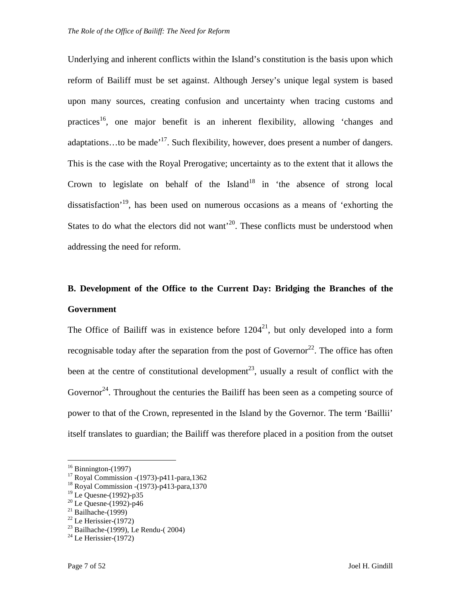Underlying and inherent conflicts within the Island's constitution is the basis upon which reform of Bailiff must be set against. Although Jersey's unique legal system is based upon many sources, creating confusion and uncertainty when tracing customs and practices<sup>16</sup>, one major benefit is an inherent flexibility, allowing 'changes and adaptations...to be made<sup> $17$ </sup>. Such flexibility, however, does present a number of dangers. This is the case with the Royal Prerogative; uncertainty as to the extent that it allows the Crown to legislate on behalf of the Island<sup>18</sup> in 'the absence of strong local dissatisfaction<sup>'19</sup>, has been used on numerous occasions as a means of 'exhorting the States to do what the electors did not want<sup> $20$ </sup>. These conflicts must be understood when addressing the need for reform.

### **B. Development of the Office to the Current Day: Bridging the Branches of the Government**

The Office of Bailiff was in existence before  $1204^{21}$ , but only developed into a form recognisable today after the separation from the post of Governor<sup>22</sup>. The office has often been at the centre of constitutional development<sup>23</sup>, usually a result of conflict with the Governor<sup>24</sup>. Throughout the centuries the Bailiff has been seen as a competing source of power to that of the Crown, represented in the Island by the Governor. The term 'Baillii' itself translates to guardian; the Bailiff was therefore placed in a position from the outset

 $16$  Binnington-(1997)

<sup>17</sup> Royal Commission -(1973)-p411-para,1362

<sup>18</sup> Royal Commission -(1973)-p413-para,1370

<sup>&</sup>lt;sup>19</sup> Le Quesne-(1992)-p35

 $20$  Le Quesne-(1992)-p46

 $21$  Bailhache-(1999)

 $22$  Le Herissier-(1972)

 $^{23}$  Bailhache-(1999), Le Rendu-(2004)

 $24$  Le Herissier-(1972)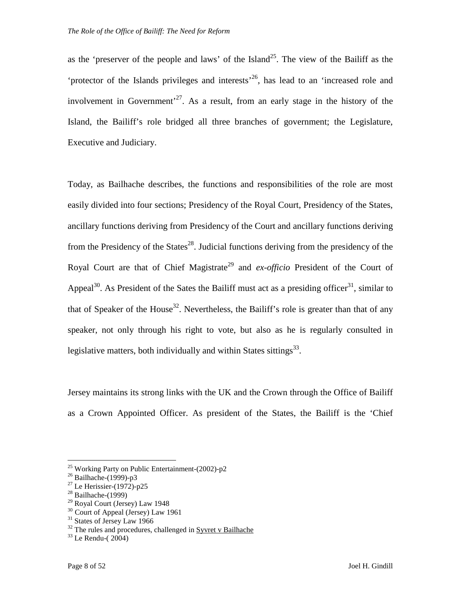as the 'preserver of the people and laws' of the Island<sup>25</sup>. The view of the Bailiff as the 'protector of the Islands privileges and interests'<sup>26</sup>, has lead to an 'increased role and involvement in Government<sup>27</sup>. As a result, from an early stage in the history of the Island, the Bailiff's role bridged all three branches of government; the Legislature, Executive and Judiciary.

Today, as Bailhache describes, the functions and responsibilities of the role are most easily divided into four sections; Presidency of the Royal Court, Presidency of the States, ancillary functions deriving from Presidency of the Court and ancillary functions deriving from the Presidency of the States<sup>28</sup>. Judicial functions deriving from the presidency of the Royal Court are that of Chief Magistrate<sup>29</sup> and *ex-officio* President of the Court of Appeal<sup>30</sup>. As President of the Sates the Bailiff must act as a presiding officer<sup>31</sup>, similar to that of Speaker of the House<sup>32</sup>. Nevertheless, the Bailiff's role is greater than that of any speaker, not only through his right to vote, but also as he is regularly consulted in legislative matters, both individually and within States sittings $^{33}$ .

Jersey maintains its strong links with the UK and the Crown through the Office of Bailiff as a Crown Appointed Officer. As president of the States, the Bailiff is the 'Chief

<sup>&</sup>lt;sup>25</sup> Working Party on Public Entertainment-(2002)-p2

 $26$  Bailhache-(1999)-p3

 $27$  Le Herissier-(1972)-p25

 $28$  Bailhache-(1999)

<sup>29</sup> Royal Court (Jersey) Law 1948

<sup>&</sup>lt;sup>30</sup> Court of Appeal (Jersey) Law 1961

<sup>&</sup>lt;sup>31</sup> States of Jersey Law 1966

 $32$  The rules and procedures, challenged in Syvret v Bailhache

 $33$  Le Rendu-(2004)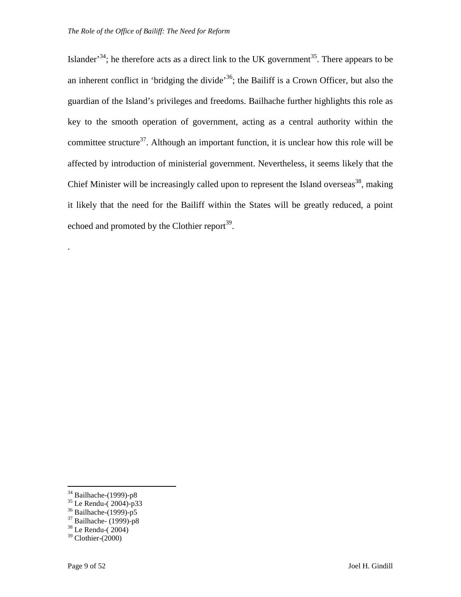Islander<sup>34</sup>; he therefore acts as a direct link to the UK government<sup>35</sup>. There appears to be an inherent conflict in 'bridging the divide'<sup>36</sup>; the Bailiff is a Crown Officer, but also the guardian of the Island's privileges and freedoms. Bailhache further highlights this role as key to the smooth operation of government, acting as a central authority within the committee structure<sup>37</sup>. Although an important function, it is unclear how this role will be affected by introduction of ministerial government. Nevertheless, it seems likely that the Chief Minister will be increasingly called upon to represent the Island overseas<sup>38</sup>, making it likely that the need for the Bailiff within the States will be greatly reduced, a point echoed and promoted by the Clothier report<sup>39</sup>.

 $\overline{a}$ 

.

<sup>&</sup>lt;sup>34</sup> Bailhache-(1999)-p8

<sup>35</sup> Le Rendu-( 2004)-p33

<sup>36</sup> Bailhache-(1999)-p5

 $37$  Bailhache- (1999)-p8

 $38$  Le Rendu-(2004)

 $39$  Clothier-(2000)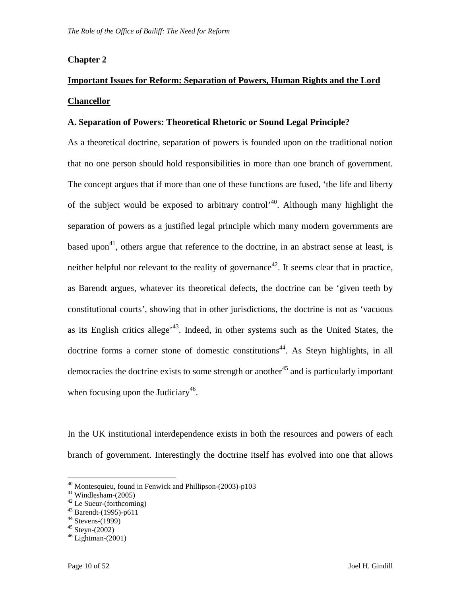#### **Chapter 2**

### **Important Issues for Reform: Separation of Powers, Human Rights and the Lord Chancellor**

#### **A. Separation of Powers: Theoretical Rhetoric or Sound Legal Principle?**

As a theoretical doctrine, separation of powers is founded upon on the traditional notion that no one person should hold responsibilities in more than one branch of government. The concept argues that if more than one of these functions are fused, 'the life and liberty of the subject would be exposed to arbitrary control<sup> $40$ </sup>. Although many highlight the separation of powers as a justified legal principle which many modern governments are based upon<sup>41</sup>, others argue that reference to the doctrine, in an abstract sense at least, is neither helpful nor relevant to the reality of governance<sup>42</sup>. It seems clear that in practice, as Barendt argues, whatever its theoretical defects, the doctrine can be 'given teeth by constitutional courts', showing that in other jurisdictions, the doctrine is not as 'vacuous as its English critics allege<sup> $43$ </sup>. Indeed, in other systems such as the United States, the doctrine forms a corner stone of domestic constitutions<sup>44</sup>. As Steyn highlights, in all democracies the doctrine exists to some strength or another<sup>45</sup> and is particularly important when focusing upon the Judiciary<sup>46</sup>.

In the UK institutional interdependence exists in both the resources and powers of each branch of government. Interestingly the doctrine itself has evolved into one that allows

<sup>40</sup> Montesquieu, found in Fenwick and Phillipson-(2003)-p103

 $41$  Windlesham-(2005)

<sup>42</sup> Le Sueur-(forthcoming)

 $43$  Barendt-(1995)-p611

 $44$  Stevens-(1999)

 $45$  Stevn- $(2002)$ 

 $46$  Lightman-(2001)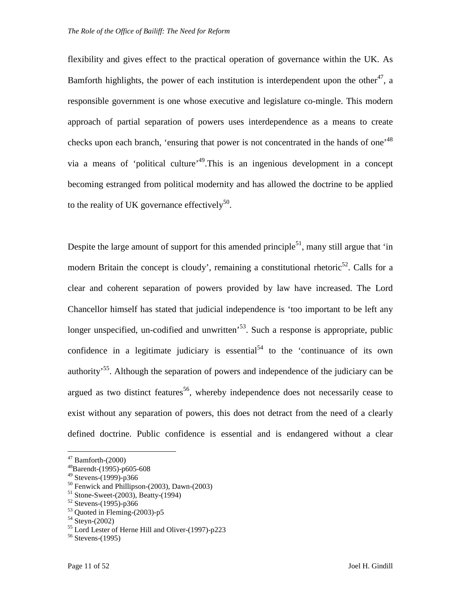flexibility and gives effect to the practical operation of governance within the UK. As Bamforth highlights, the power of each institution is interdependent upon the other<sup>47</sup>, a responsible government is one whose executive and legislature co-mingle. This modern approach of partial separation of powers uses interdependence as a means to create checks upon each branch, 'ensuring that power is not concentrated in the hands of one<sup>,48</sup> via a means of 'political culture'<sup>49</sup>.This is an ingenious development in a concept becoming estranged from political modernity and has allowed the doctrine to be applied to the reality of UK governance effectively<sup>50</sup>.

Despite the large amount of support for this amended principle<sup>51</sup>, many still argue that 'in modern Britain the concept is cloudy', remaining a constitutional rhetoric<sup>52</sup>. Calls for a clear and coherent separation of powers provided by law have increased. The Lord Chancellor himself has stated that judicial independence is 'too important to be left any longer unspecified, un-codified and unwritten<sup>53</sup>. Such a response is appropriate, public confidence in a legitimate judiciary is essential<sup>54</sup> to the 'continuance of its own authority<sup>55</sup>. Although the separation of powers and independence of the judiciary can be argued as two distinct features<sup>56</sup>, whereby independence does not necessarily cease to exist without any separation of powers, this does not detract from the need of a clearly defined doctrine. Public confidence is essential and is endangered without a clear

 $47$  Bamforth-(2000)

<sup>48</sup>Barendt-(1995)-p605-608

 $49$  Stevens-(1999)-p366

<sup>50</sup> Fenwick and Phillipson-(2003), Dawn-(2003)

 $51$  Stone-Sweet-(2003), Beatty-(1994)

 $52$  Stevens-(1995)-p366

 $53$  Quoted in Fleming-(2003)-p5

 $54$  Steyn-(2002)

 $^{55}$  Lord Lester of Herne Hill and Oliver-(1997)-p223

 $56$  Stevens-(1995)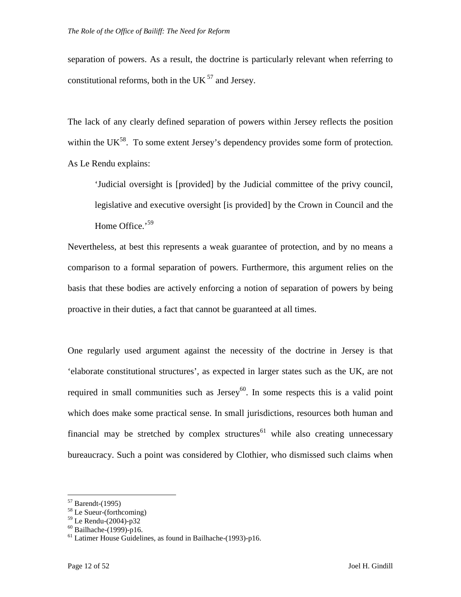separation of powers. As a result, the doctrine is particularly relevant when referring to constitutional reforms, both in the UK $<sup>57</sup>$  and Jersey.</sup>

The lack of any clearly defined separation of powers within Jersey reflects the position within the UK<sup>58</sup>. To some extent Jersey's dependency provides some form of protection. As Le Rendu explains:

'Judicial oversight is [provided] by the Judicial committee of the privy council, legislative and executive oversight [is provided] by the Crown in Council and the Home Office.'<sup>59</sup>

Nevertheless, at best this represents a weak guarantee of protection, and by no means a comparison to a formal separation of powers. Furthermore, this argument relies on the basis that these bodies are actively enforcing a notion of separation of powers by being proactive in their duties, a fact that cannot be guaranteed at all times.

One regularly used argument against the necessity of the doctrine in Jersey is that 'elaborate constitutional structures', as expected in larger states such as the UK, are not required in small communities such as Jersey $60$ . In some respects this is a valid point which does make some practical sense. In small jurisdictions, resources both human and financial may be stretched by complex structures<sup>61</sup> while also creating unnecessary bureaucracy. Such a point was considered by Clothier, who dismissed such claims when

 $57$  Barendt-(1995)

<sup>58</sup> Le Sueur-(forthcoming)

 $59$  Le Rendu-(2004)-p32

 $^{60}$  Bailhache-(1999)-p16.

 $61$  Latimer House Guidelines, as found in Bailhache-(1993)-p16.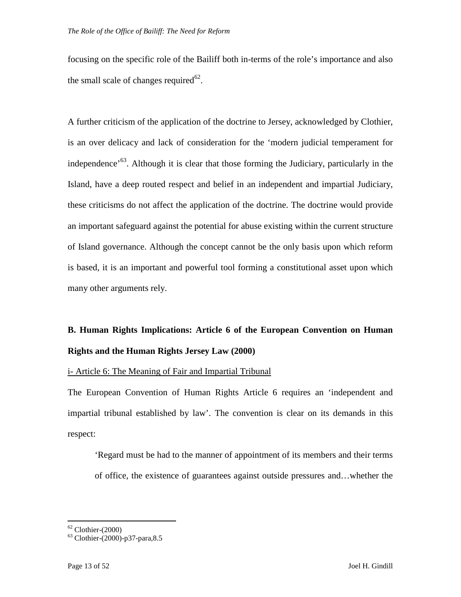focusing on the specific role of the Bailiff both in-terms of the role's importance and also the small scale of changes required $62$ .

A further criticism of the application of the doctrine to Jersey, acknowledged by Clothier, is an over delicacy and lack of consideration for the 'modern judicial temperament for independence<sup> $63$ </sup>. Although it is clear that those forming the Judiciary, particularly in the Island, have a deep routed respect and belief in an independent and impartial Judiciary, these criticisms do not affect the application of the doctrine. The doctrine would provide an important safeguard against the potential for abuse existing within the current structure of Island governance. Although the concept cannot be the only basis upon which reform is based, it is an important and powerful tool forming a constitutional asset upon which many other arguments rely.

### **B. Human Rights Implications: Article 6 of the European Convention on Human Rights and the Human Rights Jersey Law (2000)**

i- Article 6: The Meaning of Fair and Impartial Tribunal

The European Convention of Human Rights Article 6 requires an 'independent and impartial tribunal established by law'. The convention is clear on its demands in this respect:

'Regard must be had to the manner of appointment of its members and their terms of office, the existence of guarantees against outside pressures and…whether the

<sup>&</sup>lt;u>.</u>  $62$  Clothier-(2000)

<sup>63</sup> Clothier-(2000)-p37-para,8.5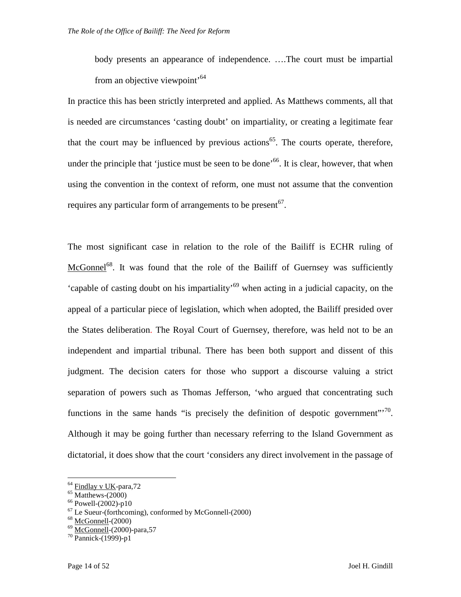body presents an appearance of independence. ….The court must be impartial from an objective viewpoint<sup>64</sup>

In practice this has been strictly interpreted and applied. As Matthews comments, all that is needed are circumstances 'casting doubt' on impartiality, or creating a legitimate fear that the court may be influenced by previous actions<sup>65</sup>. The courts operate, therefore, under the principle that 'justice must be seen to be done'<sup>66</sup>. It is clear, however, that when using the convention in the context of reform, one must not assume that the convention requires any particular form of arrangements to be present  $67$ .

The most significant case in relation to the role of the Bailiff is ECHR ruling of McGonnel<sup>68</sup>. It was found that the role of the Bailiff of Guernsey was sufficiently 'capable of casting doubt on his impartiality'<sup>69</sup> when acting in a judicial capacity, on the appeal of a particular piece of legislation, which when adopted, the Bailiff presided over the States deliberation. The Royal Court of Guernsey, therefore, was held not to be an independent and impartial tribunal. There has been both support and dissent of this judgment. The decision caters for those who support a discourse valuing a strict separation of powers such as Thomas Jefferson, 'who argued that concentrating such functions in the same hands "is precisely the definition of despotic government"<sup>70</sup>. Although it may be going further than necessary referring to the Island Government as dictatorial, it does show that the court 'considers any direct involvement in the passage of

<sup>&</sup>lt;sup>64</sup> Findlay v UK-para,72

 $65$  Matthews- $(2000)$ 

 $^{66}$  Powell-(2002)-p10

 $67$  Le Sueur-(forthcoming), conformed by McGonnell-(2000)

 $68$  McGonnell- $(2000)$ 

 $69$  McGonnell-(2000)-para, 57

 $70$  Pannick-(1999)-p1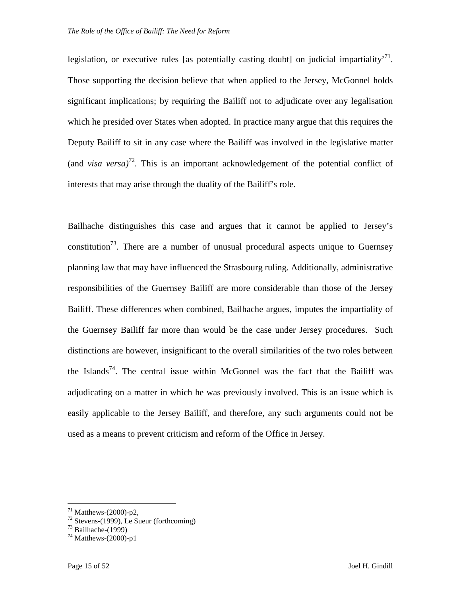legislation, or executive rules [as potentially casting doubt] on judicial impartiality<sup>71</sup>. Those supporting the decision believe that when applied to the Jersey, McGonnel holds significant implications; by requiring the Bailiff not to adjudicate over any legalisation which he presided over States when adopted. In practice many argue that this requires the Deputy Bailiff to sit in any case where the Bailiff was involved in the legislative matter (and *visa versa*)<sup>72</sup>. This is an important acknowledgement of the potential conflict of interests that may arise through the duality of the Bailiff's role.

Bailhache distinguishes this case and argues that it cannot be applied to Jersey's constitution<sup>73</sup>. There are a number of unusual procedural aspects unique to Guernsey planning law that may have influenced the Strasbourg ruling. Additionally, administrative responsibilities of the Guernsey Bailiff are more considerable than those of the Jersey Bailiff. These differences when combined, Bailhache argues, imputes the impartiality of the Guernsey Bailiff far more than would be the case under Jersey procedures. Such distinctions are however, insignificant to the overall similarities of the two roles between the Islands<sup>74</sup>. The central issue within McGonnel was the fact that the Bailiff was adjudicating on a matter in which he was previously involved. This is an issue which is easily applicable to the Jersey Bailiff, and therefore, any such arguments could not be used as a means to prevent criticism and reform of the Office in Jersey.

 $71$  Matthews-(2000)-p2,

 $72$  Stevens-(1999), Le Sueur (forthcoming)

 $^{73}$  Bailhache-(1999)

 $^{74}$  Matthews-(2000)-p1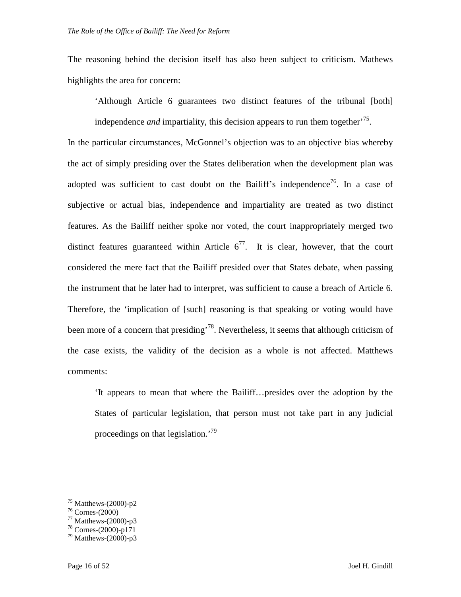The reasoning behind the decision itself has also been subject to criticism. Mathews highlights the area for concern:

'Although Article 6 guarantees two distinct features of the tribunal [both]

independence *and* impartiality, this decision appears to run them together<sup> $75$ </sup>.

In the particular circumstances, McGonnel's objection was to an objective bias whereby the act of simply presiding over the States deliberation when the development plan was adopted was sufficient to cast doubt on the Bailiff's independence<sup>76</sup>. In a case of subjective or actual bias, independence and impartiality are treated as two distinct features. As the Bailiff neither spoke nor voted, the court inappropriately merged two distinct features guaranteed within Article  $6^{77}$ . It is clear, however, that the court considered the mere fact that the Bailiff presided over that States debate, when passing the instrument that he later had to interpret, was sufficient to cause a breach of Article 6. Therefore, the 'implication of [such] reasoning is that speaking or voting would have been more of a concern that presiding<sup>78</sup>. Nevertheless, it seems that although criticism of the case exists, the validity of the decision as a whole is not affected. Matthews comments:

'It appears to mean that where the Bailiff…presides over the adoption by the States of particular legislation, that person must not take part in any judicial proceedings on that legislation.'<sup>79</sup>

 $^{75}$  Matthews-(2000)-p2

 $76$  Cornes- $(2000)$ 

 $77$  Matthews-(2000)-p3

 $78$  Cornes- $(2000)$ -p171

 $79$  Matthews-(2000)-p3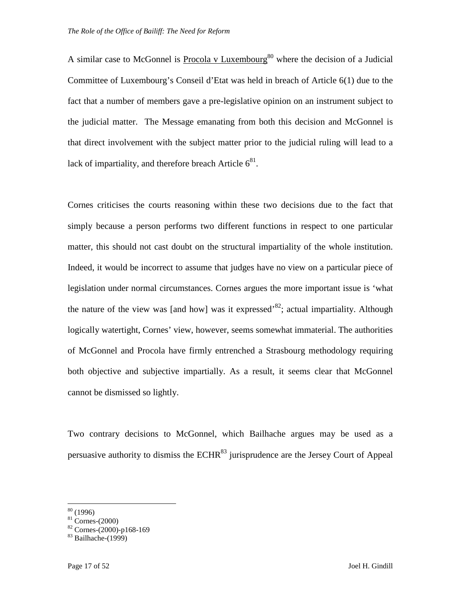A similar case to McGonnel is Procola v Luxembourg<sup>80</sup> where the decision of a Judicial Committee of Luxembourg's Conseil d'Etat was held in breach of Article 6(1) due to the fact that a number of members gave a pre-legislative opinion on an instrument subject to the judicial matter. The Message emanating from both this decision and McGonnel is that direct involvement with the subject matter prior to the judicial ruling will lead to a lack of impartiality, and therefore breach Article  $6^{81}$ .

Cornes criticises the courts reasoning within these two decisions due to the fact that simply because a person performs two different functions in respect to one particular matter, this should not cast doubt on the structural impartiality of the whole institution. Indeed, it would be incorrect to assume that judges have no view on a particular piece of legislation under normal circumstances. Cornes argues the more important issue is 'what the nature of the view was [and how] was it expressed<sup>82</sup>; actual impartiality. Although logically watertight, Cornes' view, however, seems somewhat immaterial. The authorities of McGonnel and Procola have firmly entrenched a Strasbourg methodology requiring both objective and subjective impartially. As a result, it seems clear that McGonnel cannot be dismissed so lightly.

Two contrary decisions to McGonnel, which Bailhache argues may be used as a persuasive authority to dismiss the  $ECHR<sup>83</sup>$  jurisprudence are the Jersey Court of Appeal

<sup>&</sup>lt;u>.</u>  $80(1996)$ 

 $81$  Cornes-(2000)

 $82$  Cornes-(2000)-p168-169

 $83$  Bailhache-(1999)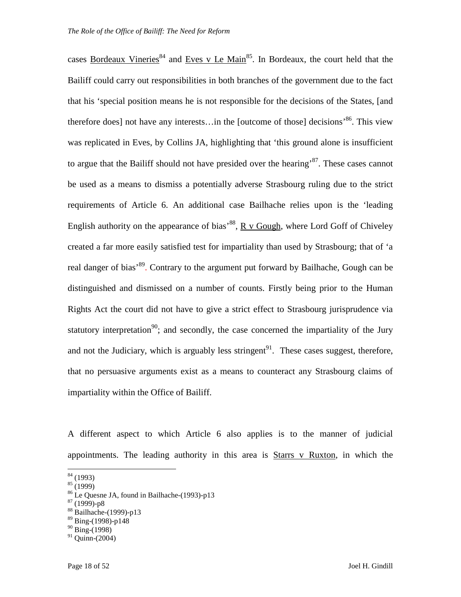cases Bordeaux Vineries<sup>84</sup> and Eves v Le Main<sup>85</sup>. In Bordeaux, the court held that the Bailiff could carry out responsibilities in both branches of the government due to the fact that his 'special position means he is not responsible for the decisions of the States, [and therefore does] not have any interests... in the [outcome of those] decisions<sup>86</sup>. This view was replicated in Eves, by Collins JA, highlighting that 'this ground alone is insufficient to argue that the Bailiff should not have presided over the hearing<sup>87</sup>. These cases cannot be used as a means to dismiss a potentially adverse Strasbourg ruling due to the strict requirements of Article 6. An additional case Bailhache relies upon is the 'leading English authority on the appearance of bias<sup>88</sup>,  $R \text{ v}$  Gough, where Lord Goff of Chiveley created a far more easily satisfied test for impartiality than used by Strasbourg; that of 'a real danger of bias<sup>, 89</sup>. Contrary to the argument put forward by Bailhache, Gough can be distinguished and dismissed on a number of counts. Firstly being prior to the Human Rights Act the court did not have to give a strict effect to Strasbourg jurisprudence via statutory interpretation<sup>90</sup>; and secondly, the case concerned the impartiality of the Jury and not the Judiciary, which is arguably less stringent<sup>91</sup>. These cases suggest, therefore, that no persuasive arguments exist as a means to counteract any Strasbourg claims of impartiality within the Office of Bailiff.

A different aspect to which Article 6 also applies is to the manner of judicial appointments. The leading authority in this area is  $Stars$  v Ruxton, in which the

<u>.</u>

 $87(1999) - p8$ 

 $84(1993)$ 

 $85 (1999)$ 

<sup>86</sup> Le Quesne JA, found in Bailhache-(1993)-p13

<sup>88</sup> Bailhache-(1999)-p13

 $89$  Bing-(1998)-p148

 $90$  Bing-(1998)

 $91$  Ouinn-(2004)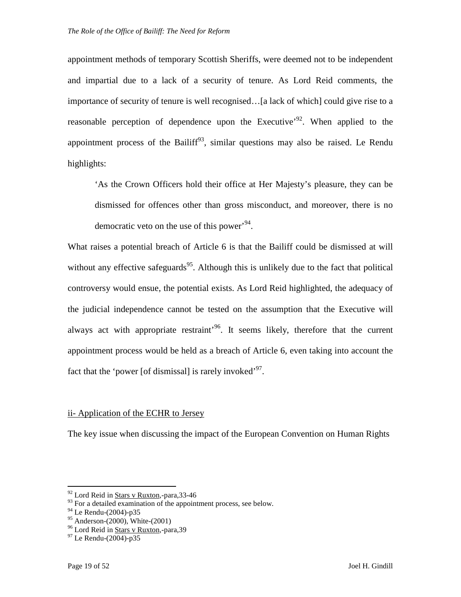appointment methods of temporary Scottish Sheriffs, were deemed not to be independent and impartial due to a lack of a security of tenure. As Lord Reid comments, the importance of security of tenure is well recognised…[a lack of which] could give rise to a reasonable perception of dependence upon the Executive<sup> $2$ </sup>. When applied to the appointment process of the Bailiff<sup>93</sup>, similar questions may also be raised. Le Rendu highlights:

'As the Crown Officers hold their office at Her Majesty's pleasure, they can be dismissed for offences other than gross misconduct, and moreover, there is no democratic veto on the use of this power<sup> $94$ </sup>.

What raises a potential breach of Article 6 is that the Bailiff could be dismissed at will without any effective safeguards<sup>95</sup>. Although this is unlikely due to the fact that political controversy would ensue, the potential exists. As Lord Reid highlighted, the adequacy of the judicial independence cannot be tested on the assumption that the Executive will always act with appropriate restraint<sup> $96$ </sup>. It seems likely, therefore that the current appointment process would be held as a breach of Article 6, even taking into account the fact that the 'power [of dismissal] is rarely invoked<sup>, 97</sup>.

#### ii- Application of the ECHR to Jersey

The key issue when discussing the impact of the European Convention on Human Rights

-

 $92$  Lord Reid in Stars v Ruxton,-para, 33-46

 $^{93}$  For a detailed examination of the appointment process, see below.

<sup>94</sup> Le Rendu-(2004)-p35

<sup>95</sup> Anderson-(2000), White-(2001)

<sup>96</sup> Lord Reid in Stars v Ruxton,-para,39

<sup>97</sup> Le Rendu-(2004)-p35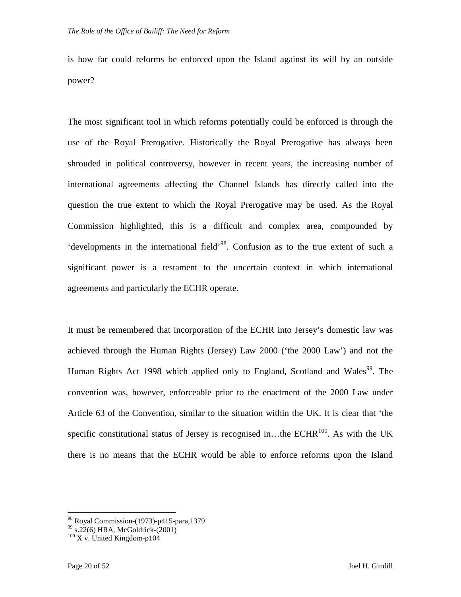is how far could reforms be enforced upon the Island against its will by an outside power?

The most significant tool in which reforms potentially could be enforced is through the use of the Royal Prerogative. Historically the Royal Prerogative has always been shrouded in political controversy, however in recent years, the increasing number of international agreements affecting the Channel Islands has directly called into the question the true extent to which the Royal Prerogative may be used. As the Royal Commission highlighted, this is a difficult and complex area, compounded by 'developments in the international field'<sup>98</sup>. Confusion as to the true extent of such a significant power is a testament to the uncertain context in which international agreements and particularly the ECHR operate.

It must be remembered that incorporation of the ECHR into Jersey's domestic law was achieved through the Human Rights (Jersey) Law 2000 ('the 2000 Law') and not the Human Rights Act 1998 which applied only to England, Scotland and Wales<sup>99</sup>. The convention was, however, enforceable prior to the enactment of the 2000 Law under Article 63 of the Convention, similar to the situation within the UK. It is clear that 'the specific constitutional status of Jersey is recognised in...the ECHR $^{100}$ . As with the UK there is no means that the ECHR would be able to enforce reforms upon the Island

<sup>&</sup>lt;sup>98</sup> Royal Commission-(1973)-p415-para,1379

 $^{99}$  s.22(6) HRA, McGoldrick-(2001)

 $100$  X v. United Kingdom-p104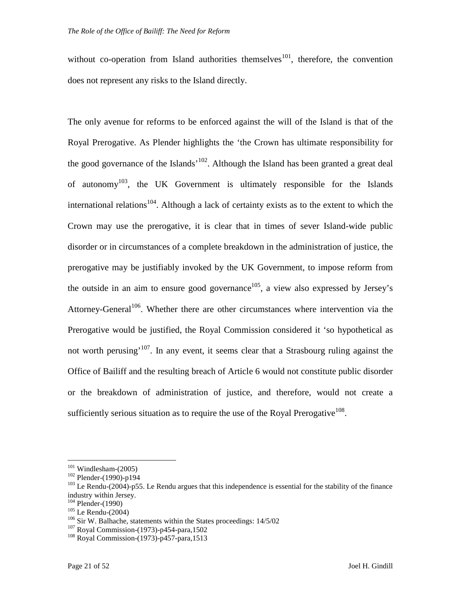without co-operation from Island authorities themselves<sup>101</sup>, therefore, the convention does not represent any risks to the Island directly.

The only avenue for reforms to be enforced against the will of the Island is that of the Royal Prerogative. As Plender highlights the 'the Crown has ultimate responsibility for the good governance of the Islands<sup> $102$ </sup>. Although the Island has been granted a great deal of autonomy<sup>103</sup>, the UK Government is ultimately responsible for the Islands international relations<sup>104</sup>. Although a lack of certainty exists as to the extent to which the Crown may use the prerogative, it is clear that in times of sever Island-wide public disorder or in circumstances of a complete breakdown in the administration of justice, the prerogative may be justifiably invoked by the UK Government, to impose reform from the outside in an aim to ensure good governance<sup>105</sup>, a view also expressed by Jersey's Attorney-General<sup>106</sup>. Whether there are other circumstances where intervention via the Prerogative would be justified, the Royal Commission considered it 'so hypothetical as not worth perusing<sup>'107</sup>. In any event, it seems clear that a Strasbourg ruling against the Office of Bailiff and the resulting breach of Article 6 would not constitute public disorder or the breakdown of administration of justice, and therefore, would not create a sufficiently serious situation as to require the use of the Royal Prerogative<sup>108</sup>.

 $101$  Windlesham-(2005)

<sup>102</sup> Plender-(1990)-p194

<sup>&</sup>lt;sup>103</sup> Le Rendu-(2004)-p55. Le Rendu argues that this independence is essential for the stability of the finance industry within Jersey.

 $104$  Plender-(1990)

 $105$  Le Rendu-(2004)

<sup>106</sup> Sir W. Balhache, statements within the States proceedings: 14/5/02

<sup>107</sup> Royal Commission-(1973)-p454-para,1502

<sup>108</sup> Royal Commission-(1973)-p457-para,1513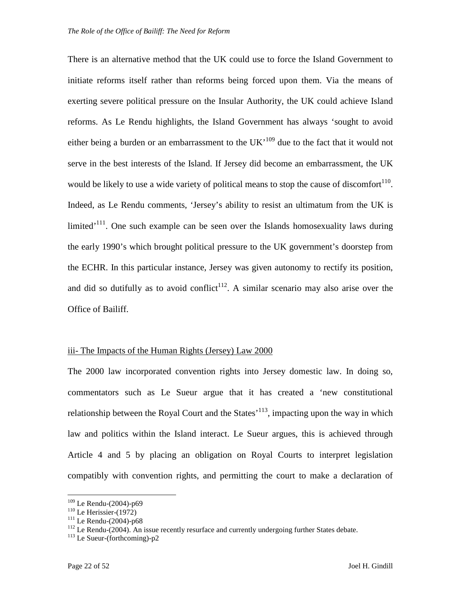There is an alternative method that the UK could use to force the Island Government to initiate reforms itself rather than reforms being forced upon them. Via the means of exerting severe political pressure on the Insular Authority, the UK could achieve Island reforms. As Le Rendu highlights, the Island Government has always 'sought to avoid either being a burden or an embarrassment to the  $UK<sup>109</sup>$  due to the fact that it would not serve in the best interests of the Island. If Jersey did become an embarrassment, the UK would be likely to use a wide variety of political means to stop the cause of discomfort $110$ . Indeed, as Le Rendu comments, 'Jersey's ability to resist an ultimatum from the UK is limited<sup> $111$ </sup>. One such example can be seen over the Islands homosexuality laws during the early 1990's which brought political pressure to the UK government's doorstep from the ECHR. In this particular instance, Jersey was given autonomy to rectify its position, and did so dutifully as to avoid conflict<sup>112</sup>. A similar scenario may also arise over the Office of Bailiff.

#### iii- The Impacts of the Human Rights (Jersey) Law 2000

The 2000 law incorporated convention rights into Jersey domestic law. In doing so, commentators such as Le Sueur argue that it has created a 'new constitutional relationship between the Royal Court and the States<sup>'113</sup>, impacting upon the way in which law and politics within the Island interact. Le Sueur argues, this is achieved through Article 4 and 5 by placing an obligation on Royal Courts to interpret legislation compatibly with convention rights, and permitting the court to make a declaration of

<sup>109</sup> Le Rendu-(2004)-p69

 $110$  Le Herissier-(1972)

 $111$  Le Rendu-(2004)-p68

 $112$  Le Rendu-(2004). An issue recently resurface and currently undergoing further States debate.

 $113$  Le Sueur-(forthcoming)-p2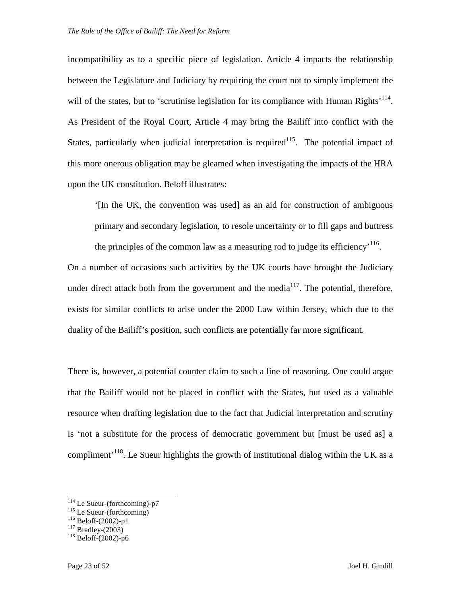incompatibility as to a specific piece of legislation. Article 4 impacts the relationship between the Legislature and Judiciary by requiring the court not to simply implement the will of the states, but to 'scrutinise legislation for its compliance with Human Rights'<sup>114</sup>. As President of the Royal Court, Article 4 may bring the Bailiff into conflict with the States, particularly when judicial interpretation is required<sup>115</sup>. The potential impact of this more onerous obligation may be gleamed when investigating the impacts of the HRA upon the UK constitution. Beloff illustrates:

'[In the UK, the convention was used] as an aid for construction of ambiguous primary and secondary legislation, to resole uncertainty or to fill gaps and buttress the principles of the common law as a measuring rod to judge its efficiency<sup> $116$ </sup>.

On a number of occasions such activities by the UK courts have brought the Judiciary under direct attack both from the government and the media $117$ . The potential, therefore, exists for similar conflicts to arise under the 2000 Law within Jersey, which due to the duality of the Bailiff's position, such conflicts are potentially far more significant.

There is, however, a potential counter claim to such a line of reasoning. One could argue that the Bailiff would not be placed in conflict with the States, but used as a valuable resource when drafting legislation due to the fact that Judicial interpretation and scrutiny is 'not a substitute for the process of democratic government but [must be used as] a compliment<sup> $118$ </sup>. Le Sueur highlights the growth of institutional dialog within the UK as a

 $114$  Le Sueur-(forthcoming)-p7

<sup>&</sup>lt;sup>115</sup> Le Sueur-(forthcoming)

 $116$  Beloff-(2002)-p1

 $117$  Bradley-(2003)

 $118$  Beloff-(2002)-p6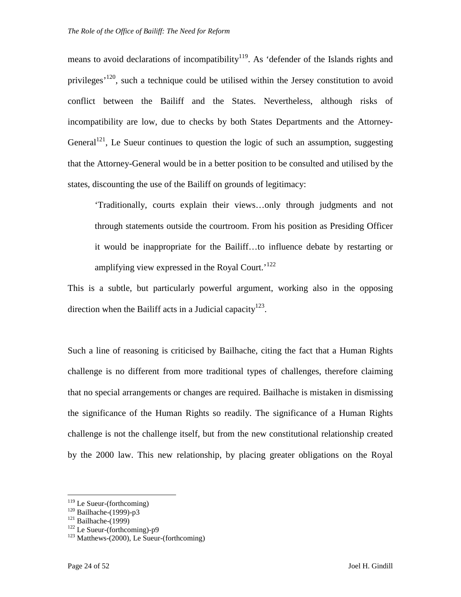means to avoid declarations of incompatibility<sup>119</sup>. As 'defender of the Islands rights and privileges<sup> $120$ </sup>, such a technique could be utilised within the Jersey constitution to avoid conflict between the Bailiff and the States. Nevertheless, although risks of incompatibility are low, due to checks by both States Departments and the Attorney-General<sup>121</sup>, Le Sueur continues to question the logic of such an assumption, suggesting that the Attorney-General would be in a better position to be consulted and utilised by the states, discounting the use of the Bailiff on grounds of legitimacy:

'Traditionally, courts explain their views…only through judgments and not through statements outside the courtroom. From his position as Presiding Officer it would be inappropriate for the Bailiff…to influence debate by restarting or amplifying view expressed in the Royal Court.<sup>122</sup>

This is a subtle, but particularly powerful argument, working also in the opposing direction when the Bailiff acts in a Judicial capacity<sup>123</sup>.

Such a line of reasoning is criticised by Bailhache, citing the fact that a Human Rights challenge is no different from more traditional types of challenges, therefore claiming that no special arrangements or changes are required. Bailhache is mistaken in dismissing the significance of the Human Rights so readily. The significance of a Human Rights challenge is not the challenge itself, but from the new constitutional relationship created by the 2000 law. This new relationship, by placing greater obligations on the Royal

 $119$  Le Sueur-(forthcoming)

<sup>&</sup>lt;sup>120</sup> Bailhache-(1999)-p3

 $121$  Bailhache-(1999)

 $122$  Le Sueur-(forthcoming)-p9

 $123$  Matthews-(2000), Le Sueur-(forthcoming)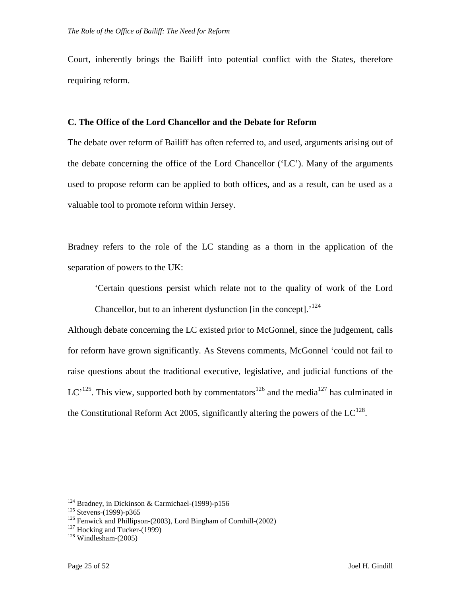Court, inherently brings the Bailiff into potential conflict with the States, therefore requiring reform.

#### **C. The Office of the Lord Chancellor and the Debate for Reform**

The debate over reform of Bailiff has often referred to, and used, arguments arising out of the debate concerning the office of the Lord Chancellor ('LC'). Many of the arguments used to propose reform can be applied to both offices, and as a result, can be used as a valuable tool to promote reform within Jersey.

Bradney refers to the role of the LC standing as a thorn in the application of the separation of powers to the UK:

'Certain questions persist which relate not to the quality of work of the Lord Chancellor, but to an inherent dysfunction  $\left[$  in the concept $\right]$ .<sup>124</sup>

Although debate concerning the LC existed prior to McGonnel, since the judgement, calls for reform have grown significantly. As Stevens comments, McGonnel 'could not fail to raise questions about the traditional executive, legislative, and judicial functions of the LC<sup> $125$ </sup>. This view, supported both by commentators<sup>126</sup> and the media<sup>127</sup> has culminated in the Constitutional Reform Act 2005, significantly altering the powers of the  $LC^{128}$ .

 $124$  Bradney, in Dickinson & Carmichael-(1999)-p156

<sup>125</sup> Stevens-(1999)-p365

<sup>126</sup> Fenwick and Phillipson-(2003), Lord Bingham of Cornhill-(2002)

 $127$  Hocking and Tucker-(1999)

 $128$  Windlesham-(2005)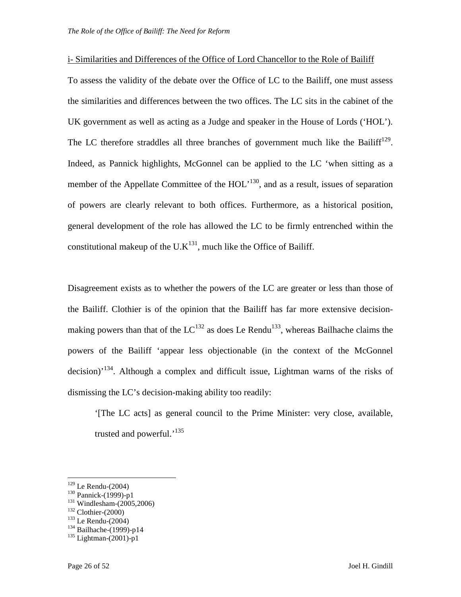#### i- Similarities and Differences of the Office of Lord Chancellor to the Role of Bailiff

To assess the validity of the debate over the Office of LC to the Bailiff, one must assess the similarities and differences between the two offices. The LC sits in the cabinet of the UK government as well as acting as a Judge and speaker in the House of Lords ('HOL'). The LC therefore straddles all three branches of government much like the Bailiff<sup>129</sup>. Indeed, as Pannick highlights, McGonnel can be applied to the LC 'when sitting as a member of the Appellate Committee of the  $HOL<sup>130</sup>$ , and as a result, issues of separation of powers are clearly relevant to both offices. Furthermore, as a historical position, general development of the role has allowed the LC to be firmly entrenched within the constitutional makeup of the U.K<sup>131</sup>, much like the Office of Bailiff.

Disagreement exists as to whether the powers of the LC are greater or less than those of the Bailiff. Clothier is of the opinion that the Bailiff has far more extensive decisionmaking powers than that of the  $LC^{132}$  as does Le Rendu<sup>133</sup>, whereas Bailhache claims the powers of the Bailiff 'appear less objectionable (in the context of the McGonnel decision)'<sup>134</sup>. Although a complex and difficult issue, Lightman warns of the risks of dismissing the LC's decision-making ability too readily:

'[The LC acts] as general council to the Prime Minister: very close, available, trusted and powerful.<sup>'135</sup>

<sup>129</sup> Le Rendu-(2004)

<sup>130</sup> Pannick-(1999)-p1

<sup>131</sup> Windlesham-(2005,2006)

 $132$  Clothier-(2000)

<sup>133</sup> Le Rendu-(2004)

 $134$  Bailhache-(1999)-p14

 $135$  Lightman-(2001)-p1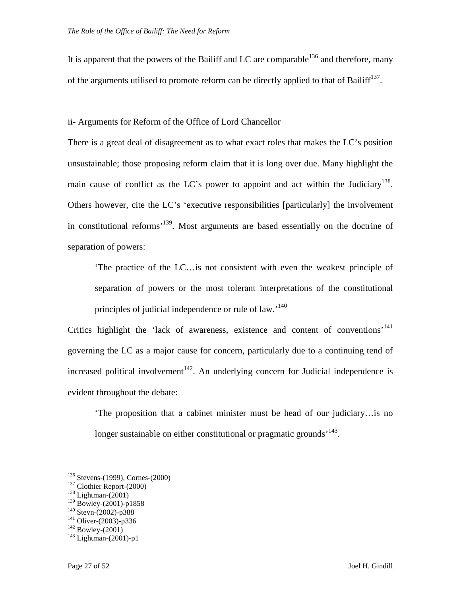It is apparent that the powers of the Bailiff and LC are comparable<sup>136</sup> and therefore, many of the arguments utilised to promote reform can be directly applied to that of Bailiff<sup>137</sup>.

#### ii- Arguments for Reform of the Office of Lord Chancellor

There is a great deal of disagreement as to what exact roles that makes the LC's position unsustainable; those proposing reform claim that it is long over due. Many highlight the main cause of conflict as the LC's power to appoint and act within the Judiciary<sup>138</sup>. Others however, cite the LC's 'executive responsibilities [particularly] the involvement in constitutional reforms'<sup>139</sup>. Most arguments are based essentially on the doctrine of separation of powers:

'The practice of the LC…is not consistent with even the weakest principle of separation of powers or the most tolerant interpretations of the constitutional principles of judicial independence or rule of law.'<sup>140</sup>

Critics highlight the 'lack of awareness, existence and content of conventions'<sup>141</sup> governing the LC as a major cause for concern, particularly due to a continuing tend of increased political involvement<sup>142</sup>. An underlying concern for Judicial independence is evident throughout the debate:

'The proposition that a cabinet minister must be head of our judiciary…is no longer sustainable on either constitutional or pragmatic grounds<sup>, 143</sup>.

<sup>136</sup> Stevens-(1999), Cornes-(2000)

<sup>&</sup>lt;sup>137</sup> Clothier Report-(2000)

 $138$  Lightman- $(2001)$ 

<sup>139</sup> Bowley-(2001)-p1858

 $140$  Steyn-(2002)-p388

 $141$  Oliver-(2003)-p336

 $^{142}$  Bowley-(2001)

 $143$  Lightman-(2001)-p1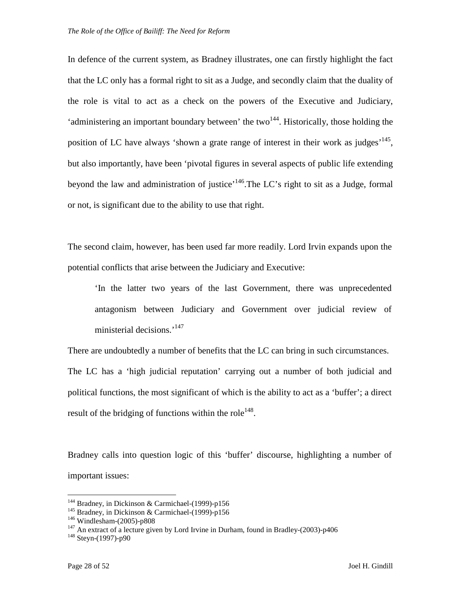In defence of the current system, as Bradney illustrates, one can firstly highlight the fact that the LC only has a formal right to sit as a Judge, and secondly claim that the duality of the role is vital to act as a check on the powers of the Executive and Judiciary, 'administering an important boundary between' the two<sup>144</sup>. Historically, those holding the position of LC have always 'shown a grate range of interest in their work as judges'<sup>145</sup>, but also importantly, have been 'pivotal figures in several aspects of public life extending beyond the law and administration of justice<sup>'146</sup>.The LC's right to sit as a Judge, formal or not, is significant due to the ability to use that right.

The second claim, however, has been used far more readily. Lord Irvin expands upon the potential conflicts that arise between the Judiciary and Executive:

'In the latter two years of the last Government, there was unprecedented antagonism between Judiciary and Government over judicial review of ministerial decisions.<sup>'147</sup>

There are undoubtedly a number of benefits that the LC can bring in such circumstances. The LC has a 'high judicial reputation' carrying out a number of both judicial and political functions, the most significant of which is the ability to act as a 'buffer'; a direct result of the bridging of functions within the role<sup>148</sup>.

Bradney calls into question logic of this 'buffer' discourse, highlighting a number of important issues:

<sup>&</sup>lt;sup>144</sup> Bradney, in Dickinson & Carmichael-(1999)-p156

<sup>&</sup>lt;sup>145</sup> Bradney, in Dickinson & Carmichael-(1999)-p156

<sup>146</sup> Windlesham-(2005)-p808

 $147$  An extract of a lecture given by Lord Irvine in Durham, found in Bradley-(2003)-p406

 $148$  Steyn-(1997)-p90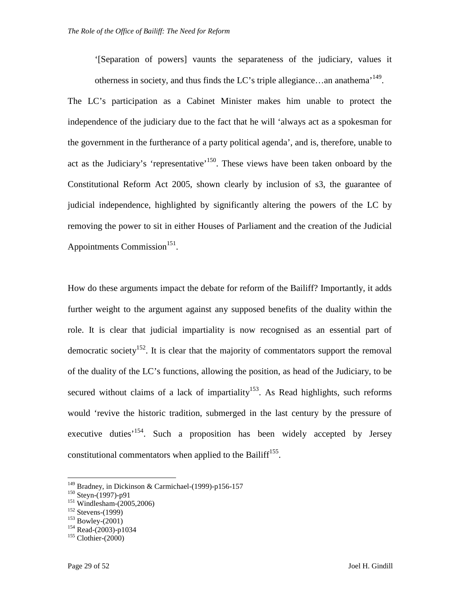'[Separation of powers] vaunts the separateness of the judiciary, values it otherness in society, and thus finds the LC's triple allegiance...an anathema<sup> $149$ </sup>.

The LC's participation as a Cabinet Minister makes him unable to protect the independence of the judiciary due to the fact that he will 'always act as a spokesman for the government in the furtherance of a party political agenda', and is, therefore, unable to act as the Judiciary's 'representative'<sup>150</sup>. These views have been taken onboard by the Constitutional Reform Act 2005, shown clearly by inclusion of s3, the guarantee of judicial independence, highlighted by significantly altering the powers of the LC by removing the power to sit in either Houses of Parliament and the creation of the Judicial Appointments Commission<sup>151</sup>.

How do these arguments impact the debate for reform of the Bailiff? Importantly, it adds further weight to the argument against any supposed benefits of the duality within the role. It is clear that judicial impartiality is now recognised as an essential part of democratic society<sup>152</sup>. It is clear that the majority of commentators support the removal of the duality of the LC's functions, allowing the position, as head of the Judiciary, to be secured without claims of a lack of impartiality<sup>153</sup>. As Read highlights, such reforms would 'revive the historic tradition, submerged in the last century by the pressure of executive duties<sup>'154</sup>. Such a proposition has been widely accepted by Jersey constitutional commentators when applied to the Bailiff<sup>155</sup>.

<sup>&</sup>lt;sup>149</sup> Bradney, in Dickinson & Carmichael-(1999)-p156-157

<sup>150</sup> Steyn-(1997)-p91

 $151$  Windlesham- $(2005, 2006)$ 

 $152$  Stevens-(1999)

 $153$  Bowley- $(2001)$ 

 $154$  Read-(2003)-p1034

 $155$  Clothier-(2000)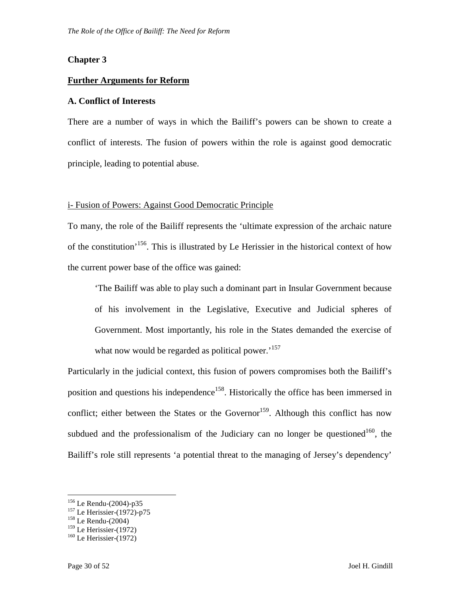#### **Chapter 3**

#### **Further Arguments for Reform**

#### **A. Conflict of Interests**

There are a number of ways in which the Bailiff's powers can be shown to create a conflict of interests. The fusion of powers within the role is against good democratic principle, leading to potential abuse.

#### i- Fusion of Powers: Against Good Democratic Principle

To many, the role of the Bailiff represents the 'ultimate expression of the archaic nature of the constitution<sup>'156</sup>. This is illustrated by Le Herissier in the historical context of how the current power base of the office was gained:

'The Bailiff was able to play such a dominant part in Insular Government because of his involvement in the Legislative, Executive and Judicial spheres of Government. Most importantly, his role in the States demanded the exercise of what now would be regarded as political power.<sup>157</sup>

Particularly in the judicial context, this fusion of powers compromises both the Bailiff's position and questions his independence<sup>158</sup>. Historically the office has been immersed in conflict; either between the States or the Governor<sup>159</sup>. Although this conflict has now subdued and the professionalism of the Judiciary can no longer be questioned<sup>160</sup>, the Bailiff's role still represents 'a potential threat to the managing of Jersey's dependency'

<sup>156</sup> Le Rendu-(2004)-p35

<sup>157</sup> Le Herissier-(1972)-p75

<sup>158</sup> Le Rendu-(2004)

 $159$  Le Herissier-(1972)

 $160$  Le Herissier-(1972)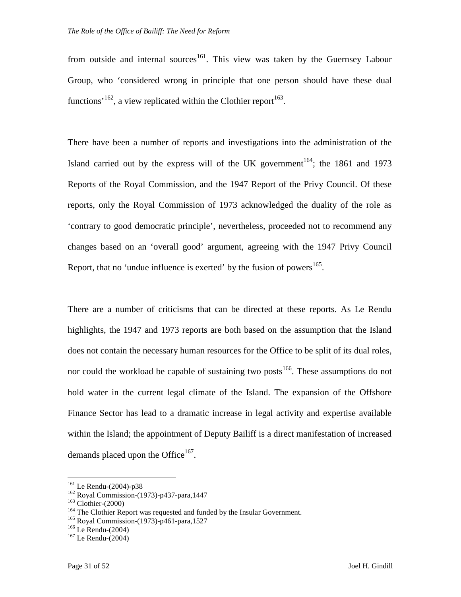from outside and internal sources<sup>161</sup>. This view was taken by the Guernsey Labour Group, who 'considered wrong in principle that one person should have these dual functions<sup>, 162</sup>, a view replicated within the Clothier report<sup>163</sup>.

There have been a number of reports and investigations into the administration of the Island carried out by the express will of the UK government<sup>164</sup>; the 1861 and 1973 Reports of the Royal Commission, and the 1947 Report of the Privy Council. Of these reports, only the Royal Commission of 1973 acknowledged the duality of the role as 'contrary to good democratic principle', nevertheless, proceeded not to recommend any changes based on an 'overall good' argument, agreeing with the 1947 Privy Council Report, that no 'undue influence is exerted' by the fusion of powers<sup>165</sup>.

There are a number of criticisms that can be directed at these reports. As Le Rendu highlights, the 1947 and 1973 reports are both based on the assumption that the Island does not contain the necessary human resources for the Office to be split of its dual roles, nor could the workload be capable of sustaining two posts<sup>166</sup>. These assumptions do not hold water in the current legal climate of the Island. The expansion of the Offshore Finance Sector has lead to a dramatic increase in legal activity and expertise available within the Island; the appointment of Deputy Bailiff is a direct manifestation of increased demands placed upon the Office $167$ .

<sup>161</sup> Le Rendu-(2004)-p38

<sup>162</sup> Royal Commission-(1973)-p437-para,1447

 $163$  Clothier-(2000)

<sup>&</sup>lt;sup>164</sup> The Clothier Report was requested and funded by the Insular Government.

<sup>165</sup> Royal Commission-(1973)-p461-para,1527

 $166$  Le Rendu-(2004)

 $167$  Le Rendu-(2004)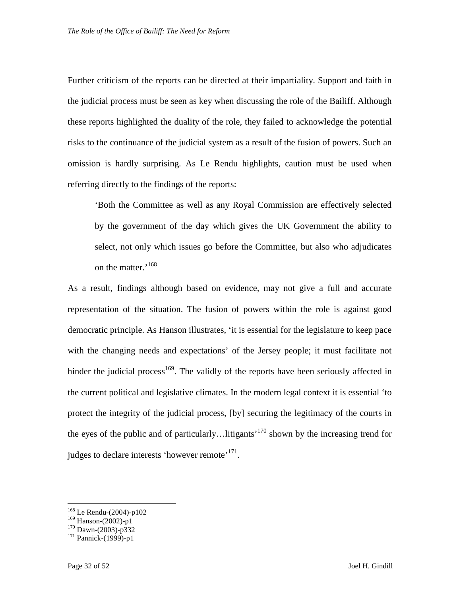Further criticism of the reports can be directed at their impartiality. Support and faith in the judicial process must be seen as key when discussing the role of the Bailiff. Although these reports highlighted the duality of the role, they failed to acknowledge the potential risks to the continuance of the judicial system as a result of the fusion of powers. Such an omission is hardly surprising. As Le Rendu highlights, caution must be used when referring directly to the findings of the reports:

'Both the Committee as well as any Royal Commission are effectively selected by the government of the day which gives the UK Government the ability to select, not only which issues go before the Committee, but also who adjudicates on the matter.<sup>'168</sup>

As a result, findings although based on evidence, may not give a full and accurate representation of the situation. The fusion of powers within the role is against good democratic principle. As Hanson illustrates, 'it is essential for the legislature to keep pace with the changing needs and expectations' of the Jersey people; it must facilitate not hinder the judicial process<sup>169</sup>. The validly of the reports have been seriously affected in the current political and legislative climates. In the modern legal context it is essential 'to protect the integrity of the judicial process, [by] securing the legitimacy of the courts in the eyes of the public and of particularly... litigants<sup> $170$ </sup> shown by the increasing trend for judges to declare interests 'however remote'<sup>171</sup>.

<sup>168</sup> Le Rendu-(2004)-p102

<sup>169</sup> Hanson-(2002)-p1

 $170$  Dawn-(2003)-p332

 $171$  Pannick-(1999)-p1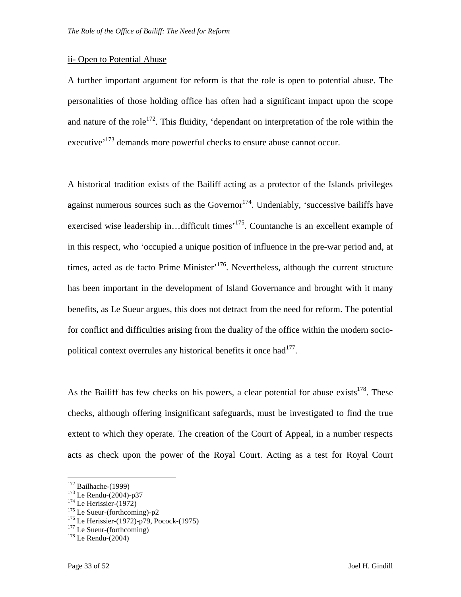#### ii- Open to Potential Abuse

A further important argument for reform is that the role is open to potential abuse. The personalities of those holding office has often had a significant impact upon the scope and nature of the role<sup>172</sup>. This fluidity, 'dependant on interpretation of the role within the executive<sup>'173</sup> demands more powerful checks to ensure abuse cannot occur.

A historical tradition exists of the Bailiff acting as a protector of the Islands privileges against numerous sources such as the Governor<sup>174</sup>. Undeniably, 'successive bailiffs have exercised wise leadership in...difficult times<sup>175</sup>. Countanche is an excellent example of in this respect, who 'occupied a unique position of influence in the pre-war period and, at times, acted as de facto Prime Minister<sup>, 176</sup>. Nevertheless, although the current structure has been important in the development of Island Governance and brought with it many benefits, as Le Sueur argues, this does not detract from the need for reform. The potential for conflict and difficulties arising from the duality of the office within the modern sociopolitical context overrules any historical benefits it once had $177$ .

As the Bailiff has few checks on his powers, a clear potential for abuse exists<sup>178</sup>. These checks, although offering insignificant safeguards, must be investigated to find the true extent to which they operate. The creation of the Court of Appeal, in a number respects acts as check upon the power of the Royal Court. Acting as a test for Royal Court

<u>.</u>

 $175$  Le Sueur-(forthcoming)-p2

 $177$  Le Sueur-(forthcoming)

 $172$  Bailhache-(1999)

<sup>173</sup> Le Rendu-(2004)-p37

 $174$  Le Herissier-(1972)

<sup>176</sup> Le Herissier-(1972)-p79, Pocock-(1975)

 $178$  Le Rendu-(2004)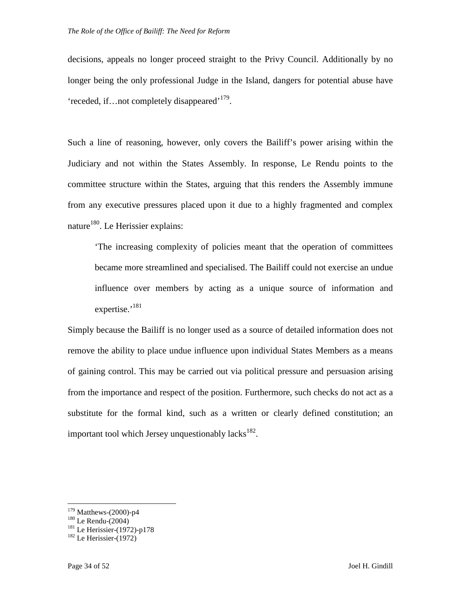decisions, appeals no longer proceed straight to the Privy Council. Additionally by no longer being the only professional Judge in the Island, dangers for potential abuse have 'receded, if...not completely disappeared'<sup>179</sup>.

Such a line of reasoning, however, only covers the Bailiff's power arising within the Judiciary and not within the States Assembly. In response, Le Rendu points to the committee structure within the States, arguing that this renders the Assembly immune from any executive pressures placed upon it due to a highly fragmented and complex nature<sup>180</sup>. Le Herissier explains:

'The increasing complexity of policies meant that the operation of committees became more streamlined and specialised. The Bailiff could not exercise an undue influence over members by acting as a unique source of information and expertise.<sup>'181</sup>

Simply because the Bailiff is no longer used as a source of detailed information does not remove the ability to place undue influence upon individual States Members as a means of gaining control. This may be carried out via political pressure and persuasion arising from the importance and respect of the position. Furthermore, such checks do not act as a substitute for the formal kind, such as a written or clearly defined constitution; an important tool which Jersey unquestionably lacks $^{182}$ .

<sup>179</sup> Matthews-(2000)-p4

 $^{180}$  Le Rendu-(2004)

 $181$  Le Herissier-(1972)-p178

 $182$  Le Herissier-(1972)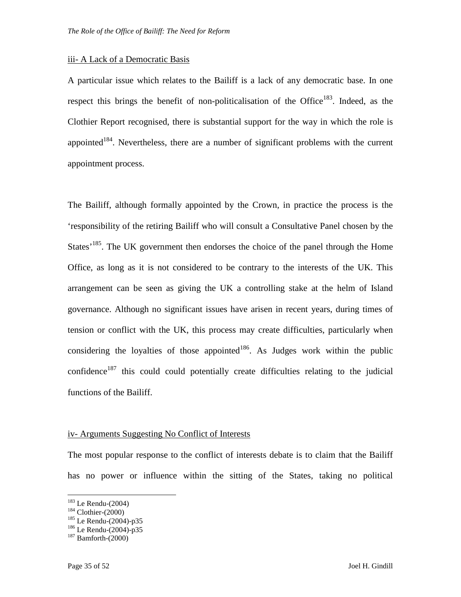#### iii- A Lack of a Democratic Basis

A particular issue which relates to the Bailiff is a lack of any democratic base. In one respect this brings the benefit of non-politicalisation of the Office<sup>183</sup>. Indeed, as the Clothier Report recognised, there is substantial support for the way in which the role is appointed $184$ . Nevertheless, there are a number of significant problems with the current appointment process.

The Bailiff, although formally appointed by the Crown, in practice the process is the 'responsibility of the retiring Bailiff who will consult a Consultative Panel chosen by the States<sup> $185$ </sup>. The UK government then endorses the choice of the panel through the Home Office, as long as it is not considered to be contrary to the interests of the UK. This arrangement can be seen as giving the UK a controlling stake at the helm of Island governance. Although no significant issues have arisen in recent years, during times of tension or conflict with the UK, this process may create difficulties, particularly when considering the loyalties of those appointed<sup>186</sup>. As Judges work within the public confidence<sup>187</sup> this could could potentially create difficulties relating to the judicial functions of the Bailiff.

#### iv- Arguments Suggesting No Conflict of Interests

The most popular response to the conflict of interests debate is to claim that the Bailiff has no power or influence within the sitting of the States, taking no political

<sup>183</sup> Le Rendu-(2004)

 $184$  Clothier-(2000)

<sup>185</sup> Le Rendu-(2004)-p35

 $186$  Le Rendu-(2004)-p35

 $187$  Bamforth-(2000)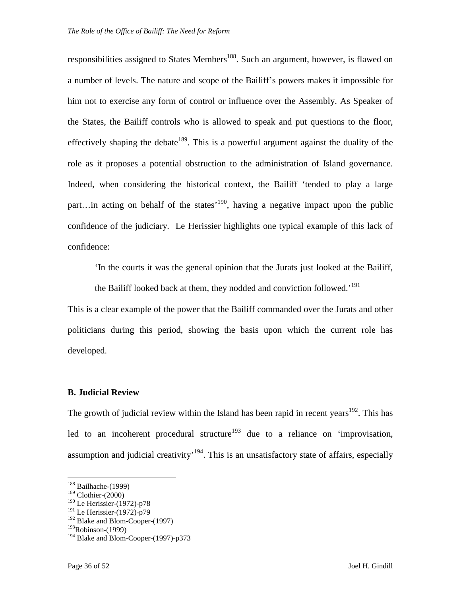responsibilities assigned to States Members<sup>188</sup>. Such an argument, however, is flawed on a number of levels. The nature and scope of the Bailiff's powers makes it impossible for him not to exercise any form of control or influence over the Assembly. As Speaker of the States, the Bailiff controls who is allowed to speak and put questions to the floor, effectively shaping the debate<sup>189</sup>. This is a powerful argument against the duality of the role as it proposes a potential obstruction to the administration of Island governance. Indeed, when considering the historical context, the Bailiff 'tended to play a large part…in acting on behalf of the states<sup> $190$ </sup>, having a negative impact upon the public confidence of the judiciary. Le Herissier highlights one typical example of this lack of confidence:

'In the courts it was the general opinion that the Jurats just looked at the Bailiff,

the Bailiff looked back at them, they nodded and conviction followed.<sup>'191</sup>

This is a clear example of the power that the Bailiff commanded over the Jurats and other politicians during this period, showing the basis upon which the current role has developed.

#### **B. Judicial Review**

The growth of judicial review within the Island has been rapid in recent years<sup>192</sup>. This has led to an incoherent procedural structure<sup>193</sup> due to a reliance on 'improvisation, assumption and judicial creativity<sup> $194$ </sup>. This is an unsatisfactory state of affairs, especially

<sup>&</sup>lt;sup>188</sup> Bailhache-(1999)

 $189$  Clothier-(2000)

<sup>190</sup> Le Herissier-(1972)-p78

<sup>&</sup>lt;sup>191</sup> Le Herissier-(1972)-p79

<sup>&</sup>lt;sup>192</sup> Blake and Blom-Cooper-(1997)

 $193$ Robinson-(1999)

<sup>&</sup>lt;sup>194</sup> Blake and Blom-Cooper-(1997)-p373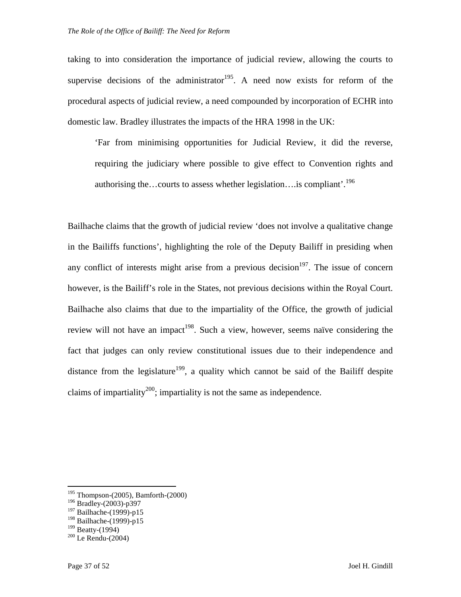taking to into consideration the importance of judicial review, allowing the courts to supervise decisions of the administrator<sup>195</sup>. A need now exists for reform of the procedural aspects of judicial review, a need compounded by incorporation of ECHR into domestic law. Bradley illustrates the impacts of the HRA 1998 in the UK:

'Far from minimising opportunities for Judicial Review, it did the reverse, requiring the judiciary where possible to give effect to Convention rights and authorising the…courts to assess whether legislation….is compliant'.<sup>196</sup>

Bailhache claims that the growth of judicial review 'does not involve a qualitative change in the Bailiffs functions', highlighting the role of the Deputy Bailiff in presiding when any conflict of interests might arise from a previous decision $197$ . The issue of concern however, is the Bailiff's role in the States, not previous decisions within the Royal Court. Bailhache also claims that due to the impartiality of the Office, the growth of judicial review will not have an impact<sup>198</sup>. Such a view, however, seems naïve considering the fact that judges can only review constitutional issues due to their independence and distance from the legislature<sup>199</sup>, a quality which cannot be said of the Bailiff despite claims of impartiality<sup>200</sup>; impartiality is not the same as independence.

 $195$  Thompson-(2005), Bamforth-(2000)

 $196$  Bradley-(2003)-p397

<sup>&</sup>lt;sup>197</sup> Bailhache-(1999)-p15

<sup>&</sup>lt;sup>198</sup> Bailhache-(1999)-p15

 $199$  Beatty-(1994)

 $200$  Le Rendu-(2004)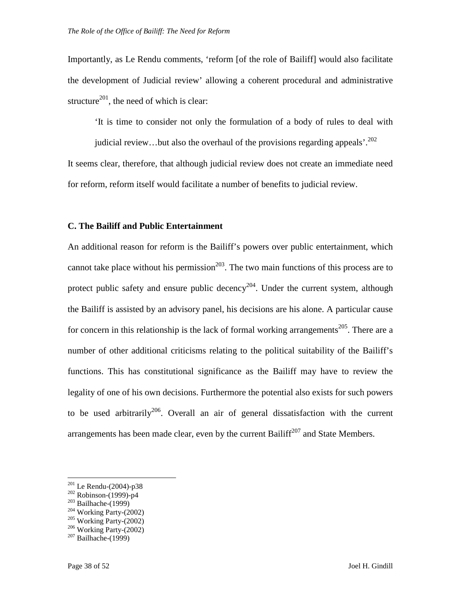Importantly, as Le Rendu comments, 'reform [of the role of Bailiff] would also facilitate the development of Judicial review' allowing a coherent procedural and administrative structure<sup>201</sup>, the need of which is clear:

'It is time to consider not only the formulation of a body of rules to deal with

judicial review...but also the overhaul of the provisions regarding appeals'.<sup>202</sup>

It seems clear, therefore, that although judicial review does not create an immediate need for reform, reform itself would facilitate a number of benefits to judicial review.

#### **C. The Bailiff and Public Entertainment**

An additional reason for reform is the Bailiff's powers over public entertainment, which cannot take place without his permission<sup>203</sup>. The two main functions of this process are to protect public safety and ensure public decency<sup>204</sup>. Under the current system, although the Bailiff is assisted by an advisory panel, his decisions are his alone. A particular cause for concern in this relationship is the lack of formal working arrangements<sup>205</sup>. There are a number of other additional criticisms relating to the political suitability of the Bailiff's functions. This has constitutional significance as the Bailiff may have to review the legality of one of his own decisions. Furthermore the potential also exists for such powers to be used arbitrarily<sup>206</sup>. Overall an air of general dissatisfaction with the current arrangements has been made clear, even by the current Bailiff<sup>207</sup> and State Members.

<sup>201</sup> Le Rendu-(2004)-p38

<sup>202</sup> Robinson-(1999)-p4

 $203$  Bailhache-(1999)

 $204$  Working Party-(2002)

 $205$  Working Party-(2002)

 $206$  Working Party-(2002)

 $207$  Bailhache-(1999)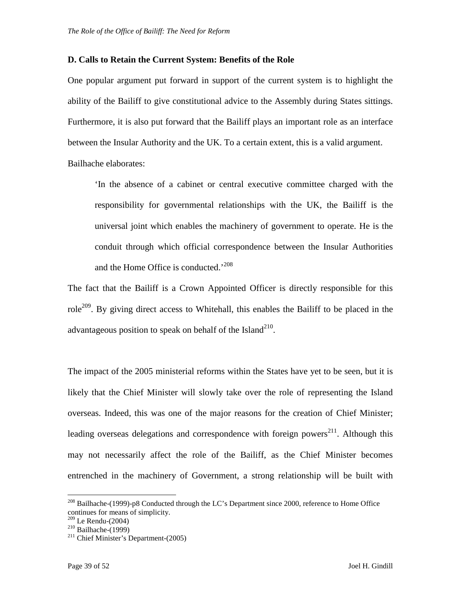#### **D. Calls to Retain the Current System: Benefits of the Role**

One popular argument put forward in support of the current system is to highlight the ability of the Bailiff to give constitutional advice to the Assembly during States sittings. Furthermore, it is also put forward that the Bailiff plays an important role as an interface between the Insular Authority and the UK. To a certain extent, this is a valid argument. Bailhache elaborates:

'In the absence of a cabinet or central executive committee charged with the responsibility for governmental relationships with the UK, the Bailiff is the universal joint which enables the machinery of government to operate. He is the conduit through which official correspondence between the Insular Authorities and the Home Office is conducted.<sup>'208</sup>

The fact that the Bailiff is a Crown Appointed Officer is directly responsible for this role<sup>209</sup>. By giving direct access to Whitehall, this enables the Bailiff to be placed in the advantageous position to speak on behalf of the Island<sup>210</sup>.

The impact of the 2005 ministerial reforms within the States have yet to be seen, but it is likely that the Chief Minister will slowly take over the role of representing the Island overseas. Indeed, this was one of the major reasons for the creation of Chief Minister; leading overseas delegations and correspondence with foreign powers<sup>211</sup>. Although this may not necessarily affect the role of the Bailiff, as the Chief Minister becomes entrenched in the machinery of Government, a strong relationship will be built with

 $^{208}$  Bailhache-(1999)-p8 Conducted through the LC's Department since 2000, reference to Home Office continues for means of simplicity.

<sup>209</sup> Le Rendu-(2004)

 $210$  Bailhache-(1999)

 $2^{11}$  Chief Minister's Department-(2005)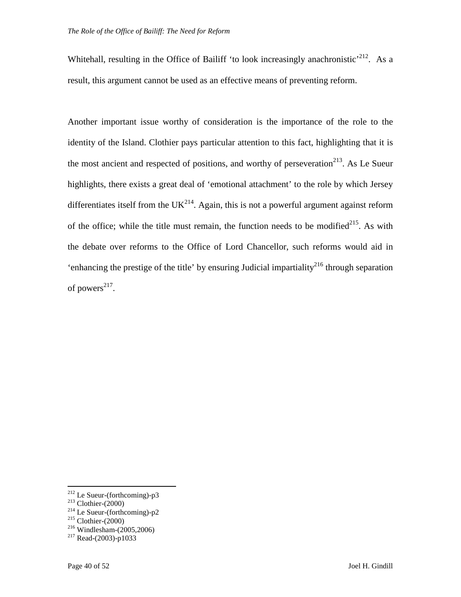Whitehall, resulting in the Office of Bailiff 'to look increasingly anachronistic'<sup>212</sup>. As a result, this argument cannot be used as an effective means of preventing reform.

Another important issue worthy of consideration is the importance of the role to the identity of the Island. Clothier pays particular attention to this fact, highlighting that it is the most ancient and respected of positions, and worthy of perseveration<sup>213</sup>. As Le Sueur highlights, there exists a great deal of 'emotional attachment' to the role by which Jersey differentiates itself from the  $UK<sup>214</sup>$ . Again, this is not a powerful argument against reform of the office; while the title must remain, the function needs to be modified<sup>215</sup>. As with the debate over reforms to the Office of Lord Chancellor, such reforms would aid in 'enhancing the prestige of the title' by ensuring Judicial impartiality<sup>216</sup> through separation of powers $^{217}$ .

-

 $2^{12}$  Le Sueur-(forthcoming)-p3

 $^{213}$  Clothier-(2000)

 $2^{14}$  Le Sueur-(forthcoming)-p2

 $215$  Clothier-(2000)

<sup>216</sup> Windlesham-(2005,2006)

 $2^{17}$  Read-(2003)-p1033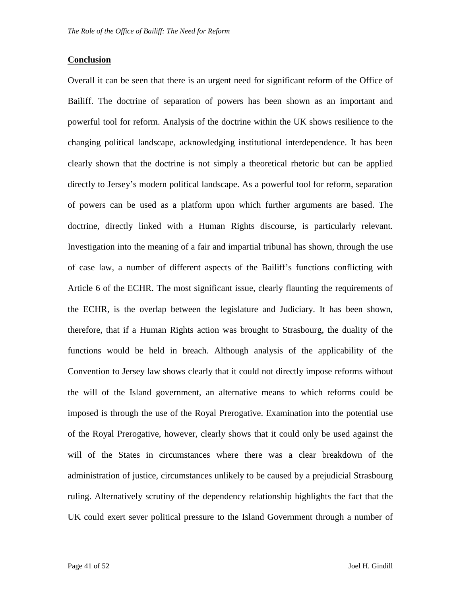#### **Conclusion**

Overall it can be seen that there is an urgent need for significant reform of the Office of Bailiff. The doctrine of separation of powers has been shown as an important and powerful tool for reform. Analysis of the doctrine within the UK shows resilience to the changing political landscape, acknowledging institutional interdependence. It has been clearly shown that the doctrine is not simply a theoretical rhetoric but can be applied directly to Jersey's modern political landscape. As a powerful tool for reform, separation of powers can be used as a platform upon which further arguments are based. The doctrine, directly linked with a Human Rights discourse, is particularly relevant. Investigation into the meaning of a fair and impartial tribunal has shown, through the use of case law, a number of different aspects of the Bailiff's functions conflicting with Article 6 of the ECHR. The most significant issue, clearly flaunting the requirements of the ECHR, is the overlap between the legislature and Judiciary. It has been shown, therefore, that if a Human Rights action was brought to Strasbourg, the duality of the functions would be held in breach. Although analysis of the applicability of the Convention to Jersey law shows clearly that it could not directly impose reforms without the will of the Island government, an alternative means to which reforms could be imposed is through the use of the Royal Prerogative. Examination into the potential use of the Royal Prerogative, however, clearly shows that it could only be used against the will of the States in circumstances where there was a clear breakdown of the administration of justice, circumstances unlikely to be caused by a prejudicial Strasbourg ruling. Alternatively scrutiny of the dependency relationship highlights the fact that the UK could exert sever political pressure to the Island Government through a number of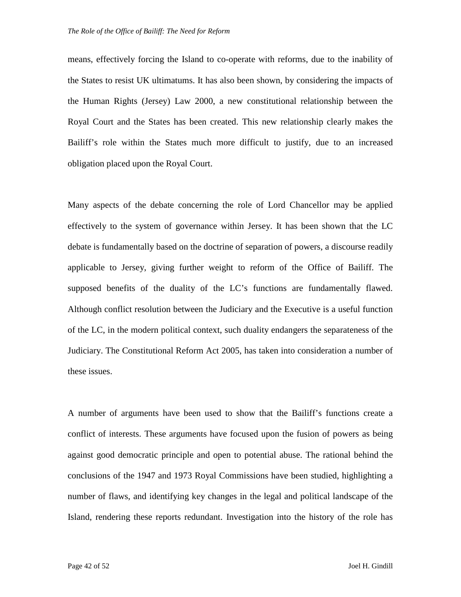means, effectively forcing the Island to co-operate with reforms, due to the inability of the States to resist UK ultimatums. It has also been shown, by considering the impacts of the Human Rights (Jersey) Law 2000, a new constitutional relationship between the Royal Court and the States has been created. This new relationship clearly makes the Bailiff's role within the States much more difficult to justify, due to an increased obligation placed upon the Royal Court.

Many aspects of the debate concerning the role of Lord Chancellor may be applied effectively to the system of governance within Jersey. It has been shown that the LC debate is fundamentally based on the doctrine of separation of powers, a discourse readily applicable to Jersey, giving further weight to reform of the Office of Bailiff. The supposed benefits of the duality of the LC's functions are fundamentally flawed. Although conflict resolution between the Judiciary and the Executive is a useful function of the LC, in the modern political context, such duality endangers the separateness of the Judiciary. The Constitutional Reform Act 2005, has taken into consideration a number of these issues.

A number of arguments have been used to show that the Bailiff's functions create a conflict of interests. These arguments have focused upon the fusion of powers as being against good democratic principle and open to potential abuse. The rational behind the conclusions of the 1947 and 1973 Royal Commissions have been studied, highlighting a number of flaws, and identifying key changes in the legal and political landscape of the Island, rendering these reports redundant. Investigation into the history of the role has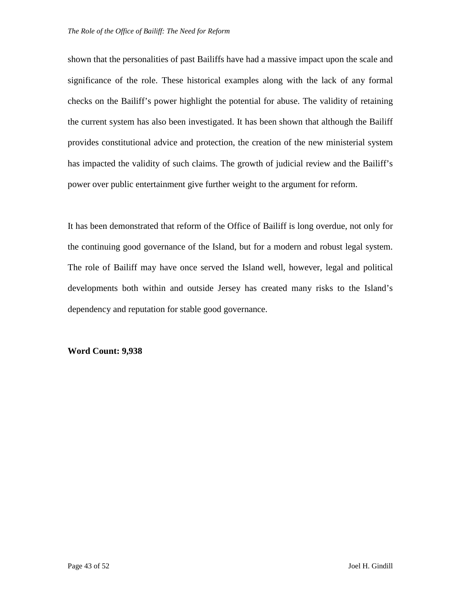shown that the personalities of past Bailiffs have had a massive impact upon the scale and significance of the role. These historical examples along with the lack of any formal checks on the Bailiff's power highlight the potential for abuse. The validity of retaining the current system has also been investigated. It has been shown that although the Bailiff provides constitutional advice and protection, the creation of the new ministerial system has impacted the validity of such claims. The growth of judicial review and the Bailiff's power over public entertainment give further weight to the argument for reform.

It has been demonstrated that reform of the Office of Bailiff is long overdue, not only for the continuing good governance of the Island, but for a modern and robust legal system. The role of Bailiff may have once served the Island well, however, legal and political developments both within and outside Jersey has created many risks to the Island's dependency and reputation for stable good governance.

#### **Word Count: 9,938**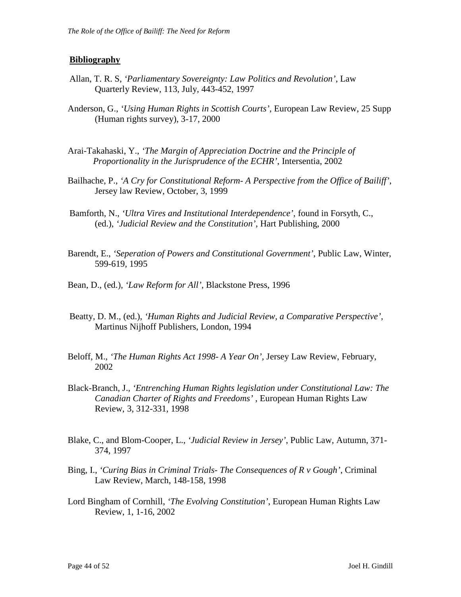#### **Bibliography**

- Allan, T. R. S, *'Parliamentary Sovereignty: Law Politics and Revolution'*, Law Quarterly Review, 113, July, 443-452, 1997
- Anderson, G., *'Using Human Rights in Scottish Courts'*, European Law Review, 25 Supp (Human rights survey), 3-17, 2000
- Arai-Takahaski, Y., *'The Margin of Appreciation Doctrine and the Principle of Proportionality in the Jurisprudence of the ECHR'*, Intersentia, 2002
- Bailhache, P., *'A Cry for Constitutional Reform- A Perspective from the Office of Bailiff'*, Jersey law Review, October, 3, 1999
- Bamforth, N., *'Ultra Vires and Institutional Interdependence'*, found in Forsyth, C., (ed.), *'Judicial Review and the Constitution'*, Hart Publishing, 2000
- Barendt, E., *'Seperation of Powers and Constitutional Government'*, Public Law, Winter, 599-619, 1995
- Bean, D., (ed.), *'Law Reform for All'*, Blackstone Press, 1996
- Beatty, D. M., (ed.), *'Human Rights and Judicial Review, a Comparative Perspective',* Martinus Nijhoff Publishers, London, 1994
- Beloff, M., *'The Human Rights Act 1998- A Year On',* Jersey Law Review, February, 2002
- Black-Branch, J., *'Entrenching Human Rights legislation under Constitutional Law: The Canadian Charter of Rights and Freedoms'* , European Human Rights Law Review, 3, 312-331, 1998
- Blake, C., and Blom-Cooper, L., *'Judicial Review in Jersey'*, Public Law, Autumn, 371- 374, 1997
- Bing, I., *'Curing Bias in Criminal Trials- The Consequences of R v Gough'*, Criminal Law Review, March, 148-158, 1998
- Lord Bingham of Cornhill, *'The Evolving Constitution'*, European Human Rights Law Review, 1, 1-16, 2002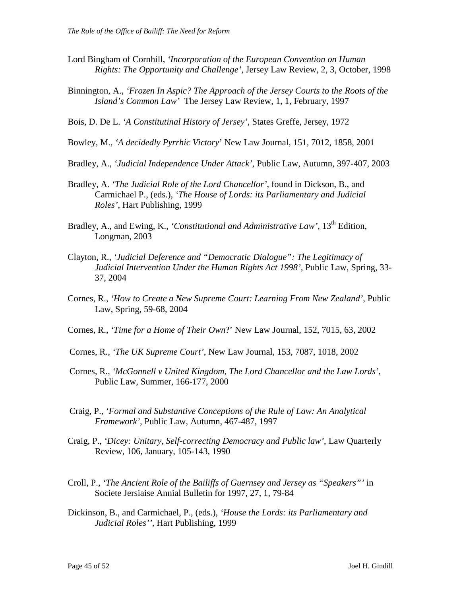- Lord Bingham of Cornhill, *'Incorporation of the European Convention on Human Rights: The Opportunity and Challenge',* Jersey Law Review, 2, 3, October, 1998
- Binnington, A., *'Frozen In Aspic? The Approach of the Jersey Courts to the Roots of the Island's Common Law'* The Jersey Law Review, 1, 1, February, 1997
- Bois, D. De L. *'A Constitutinal History of Jersey'*, States Greffe, Jersey, 1972
- Bowley, M., *'A decidedly Pyrrhic Victory*' New Law Journal, 151, 7012, 1858, 2001
- Bradley, A., *'Judicial Independence Under Attack',* Public Law, Autumn, 397-407, 2003
- Bradley, A. *'The Judicial Role of the Lord Chancellor'*, found in Dickson, B., and Carmichael P., (eds.), *'The House of Lords: its Parliamentary and Judicial Roles'*, Hart Publishing, 1999
- Bradley, A., and Ewing, K., *'Constitutional and Administrative Law'*, 13<sup>th</sup> Edition, Longman, 2003
- Clayton, R., *'Judicial Deference and "Democratic Dialogue": The Legitimacy of Judicial Intervention Under the Human Rights Act 1998'*, Public Law, Spring, 33- 37, 2004
- Cornes, R., *'How to Create a New Supreme Court: Learning From New Zealand'*, Public Law, Spring, 59-68, 2004
- Cornes, R., *'Time for a Home of Their Own*?' New Law Journal, 152, 7015, 63, 2002
- Cornes, R., *'The UK Supreme Court'*, New Law Journal, 153, 7087, 1018, 2002
- Cornes, R., *'McGonnell v United Kingdom, The Lord Chancellor and the Law Lords'*, Public Law, Summer, 166-177, 2000
- Craig, P., *'Formal and Substantive Conceptions of the Rule of Law: An Analytical Framework'*, Public Law, Autumn, 467-487, 1997
- Craig, P., *'Dicey: Unitary, Self-correcting Democracy and Public law'*, Law Quarterly Review, 106, January, 105-143, 1990
- Croll, P., *'The Ancient Role of the Bailiffs of Guernsey and Jersey as "Speakers"'* in Societe Jersiaise Annial Bulletin for 1997, 27, 1, 79-84
- Dickinson, B., and Carmichael, P., (eds.), *'House the Lords: its Parliamentary and Judicial Roles''*, Hart Publishing, 1999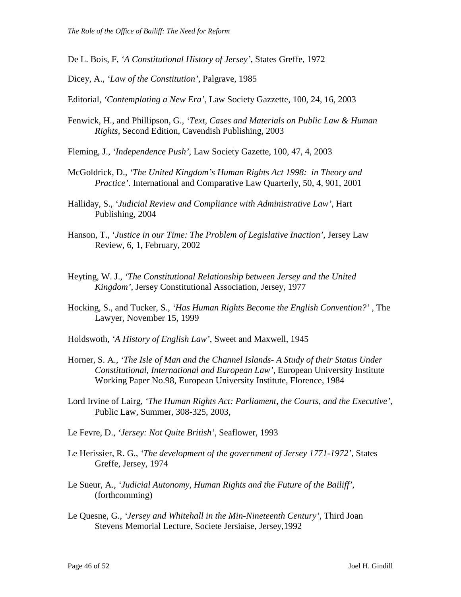- De L. Bois, F, *'A Constitutional History of Jersey'*, States Greffe, 1972
- Dicey, A., *'Law of the Constitution'*, Palgrave, 1985
- Editorial, *'Contemplating a New Era',* Law Society Gazzette, 100, 24, 16, 2003
- Fenwick, H., and Phillipson, G., *'Text, Cases and Materials on Public Law & Human Rights,* Second Edition, Cavendish Publishing, 2003
- Fleming, J., *'Independence Push'*, Law Society Gazette, 100, 47, 4, 2003
- McGoldrick, D., *'The United Kingdom's Human Rights Act 1998: in Theory and Practice'*. International and Comparative Law Quarterly, 50, 4, 901, 2001
- Halliday, S., *'Judicial Review and Compliance with Administrative Law'*, Hart Publishing, 2004
- Hanson, T., '*Justice in our Time: The Problem of Legislative Inaction'*, Jersey Law Review, 6, 1, February, 2002
- Heyting, W. J., *'The Constitutional Relationship between Jersey and the United Kingdom'*, Jersey Constitutional Association, Jersey, 1977
- Hocking, S., and Tucker, S., *'Has Human Rights Become the English Convention?'* , The Lawyer, November 15, 1999
- Holdswoth, *'A History of English Law'*, Sweet and Maxwell, 1945
- Horner, S. A., *'The Isle of Man and the Channel Islands- A Study of their Status Under Constitutional, International and European Law'*, European University Institute Working Paper No.98, European University Institute, Florence, 1984
- Lord Irvine of Lairg, *'The Human Rights Act: Parliament, the Courts, and the Executive'*, Public Law, Summer, 308-325, 2003,
- Le Fevre, D., *'Jersey: Not Quite British'*, Seaflower, 1993
- Le Herissier, R. G., *'The development of the government of Jersey 1771-1972'*, States Greffe, Jersey, 1974
- Le Sueur, A., *'Judicial Autonomy, Human Rights and the Future of the Bailiff'*, (forthcomming)
- Le Quesne, G., *'Jersey and Whitehall in the Min-Nineteenth Century'*, Third Joan Stevens Memorial Lecture, Societe Jersiaise, Jersey,1992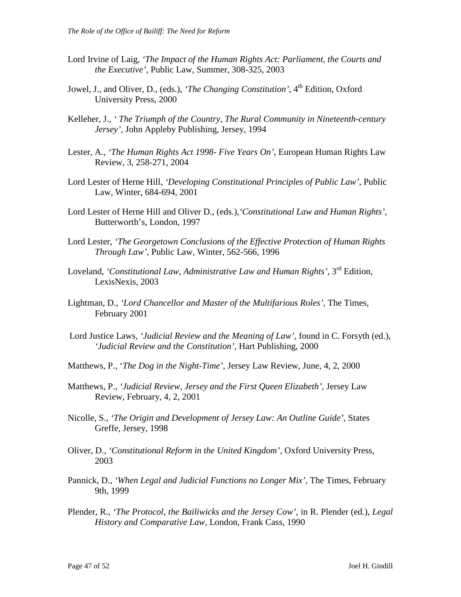- Lord Irvine of Laig, *'The Impact of the Human Rights Act: Parliament, the Courts and the Executive',* Public Law, Summer, 308-325, 2003
- Jowel, J., and Oliver, D., (eds.), *'The Changing Constitution'*, 4<sup>th</sup> Edition, Oxford University Press, 2000
- Kelleher, J., *' The Triumph of the Country, The Rural Community in Nineteenth-century Jersey',* John Appleby Publishing, Jersey, 1994
- Lester, A., *'The Human Rights Act 1998- Five Years On'*, European Human Rights Law Review, 3, 258-271, 2004
- Lord Lester of Herne Hill, *'Developing Constitutional Principles of Public Law'*, Public Law, Winter, 684-694, 2001
- Lord Lester of Herne Hill and Oliver D., (eds.),*'Constitutional Law and Human Rights'*, Butterworth's, London, 1997
- Lord Lester, *'The Georgetown Conclusions of the Effective Protection of Human Rights Through Law'*, Public Law, Winter, 562-566, 1996
- Loveland, *'Constitutional Law, Administrative Law and Human Rights'*, 3rd Edition, LexisNexis, 2003
- Lightman, D., *'Lord Chancellor and Master of the Multifarious Roles',* The Times, February 2001
- Lord Justice Laws, *'Judicial Review and the Meaning of Law'*, found in C. Forsyth (ed.), *'Judicial Review and the Constitution'*, Hart Publishing, 2000
- Matthews, P., '*The Dog in the Night-Time',* Jersey Law Review, June, 4, 2, 2000
- Matthews, P., *'Judicial Review, Jersey and the First Queen Elizabeth'*, Jersey Law Review, February, 4, 2, 2001
- Nicolle, S., *'The Origin and Development of Jersey Law: An Outline Guide'*, States Greffe, Jersey, 1998
- Oliver, D., *'Constitutional Reform in the United Kingdom'*, Oxford University Press, 2003
- Pannick, D., *'When Legal and Judicial Functions no Longer Mix'*, The Times, February 9th, 1999
- Plender, R., *'The Protocol, the Bailiwicks and the Jersey Cow'*, in R. Plender (ed.), *Legal History and Comparative Law*, London, Frank Cass, 1990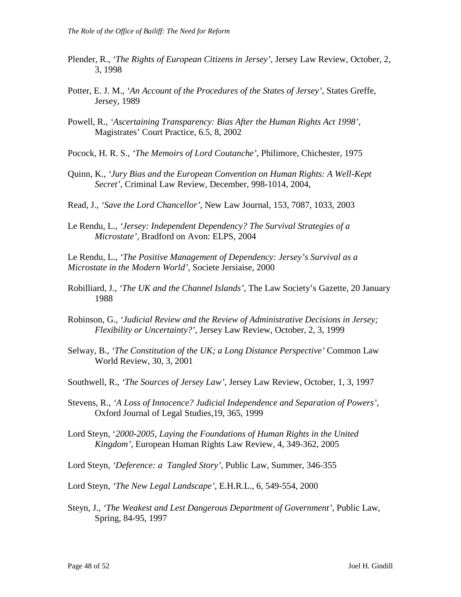- Plender, R., *'The Rights of European Citizens in Jersey'*, Jersey Law Review, October, 2, 3, 1998
- Potter, E. J. M., *'An Account of the Procedures of the States of Jersey'*, States Greffe, Jersey, 1989
- Powell, R., *'Ascertaining Transparency: Bias After the Human Rights Act 1998'*, Magistrates' Court Practice, 6.5, 8, 2002
- Pocock, H. R. S., *'The Memoirs of Lord Coutanche'*, Philimore, Chichester, 1975
- Quinn, K., *'Jury Bias and the European Convention on Human Rights: A Well-Kept Secret'*, Criminal Law Review, December, 998-1014, 2004,
- Read, J., *'Save the Lord Chancellor'*, New Law Journal, 153, 7087, 1033, 2003
- Le Rendu, L., *'Jersey: Independent Dependency? The Survival Strategies of a Microstate',* Bradford on Avon: ELPS, 2004

Le Rendu, L., *'The Positive Management of Dependency: Jersey's Survival as a Microstate in the Modern World'*, Societe Jersiaise, 2000

- Robilliard, J., *'The UK and the Channel Islands'*, The Law Society's Gazette, 20 January 1988
- Robinson, G., *'Judicial Review and the Review of Administrative Decisions in Jersey; Flexibility or Uncertainty?'*, Jersey Law Review, October, 2, 3, 1999
- Selway, B., *'The Constitution of the UK; a Long Distance Perspective'* Common Law World Review, 30, 3, 2001
- Southwell, R., *'The Sources of Jersey Law'*, Jersey Law Review, October, 1, 3, 1997
- Stevens, R., *'A Loss of Innocence? Judicial Independence and Separation of Powers'*, Oxford Journal of Legal Studies,19, 365, 1999
- Lord Steyn, '*2000-2005, Laying the Foundations of Human Rights in the United Kingdom'*, European Human Rights Law Review, 4, 349-362, 2005
- Lord Steyn, *'Deference: a Tangled Story'*, Public Law, Summer, 346-355
- Lord Steyn, *'The New Legal Landscape'*, E.H.R.L., 6, 549-554, 2000
- Steyn, J., *'The Weakest and Lest Dangerous Department of Government'*, Public Law, Spring, 84-95, 1997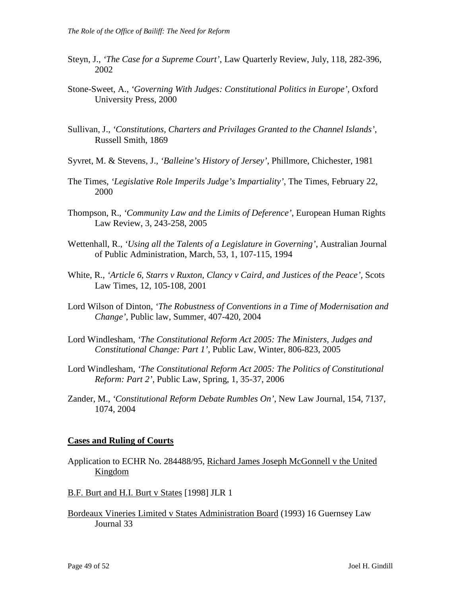- Steyn, J., *'The Case for a Supreme Court'*, Law Quarterly Review, July, 118, 282-396, 2002
- Stone-Sweet, A., *'Governing With Judges: Constitutional Politics in Europe',* Oxford University Press, 2000
- Sullivan, J., *'Constitutions, Charters and Privilages Granted to the Channel Islands'*, Russell Smith, 1869
- Syvret, M. & Stevens, J., *'Balleine's History of Jersey'*, Phillmore, Chichester, 1981
- The Times, *'Legislative Role Imperils Judge's Impartiality'*, The Times, February 22, 2000
- Thompson, R., *'Community Law and the Limits of Deference'*, European Human Rights Law Review, 3, 243-258, 2005
- Wettenhall, R., *'Using all the Talents of a Legislature in Governing'*, Australian Journal of Public Administration, March, 53, 1, 107-115, 1994
- White, R., *'Article 6, Starrs v Ruxton, Clancy v Caird, and Justices of the Peace',* Scots Law Times, 12, 105-108, 2001
- Lord Wilson of Dinton, *'The Robustness of Conventions in a Time of Modernisation and Change'*, Public law, Summer, 407-420, 2004
- Lord Windlesham, *'The Constitutional Reform Act 2005: The Ministers, Judges and Constitutional Change: Part 1'*, Public Law, Winter, 806-823, 2005
- Lord Windlesham, *'The Constitutional Reform Act 2005: The Politics of Constitutional Reform: Part 2'*, Public Law, Spring, 1, 35-37, 2006
- Zander, M., *'Constitutional Reform Debate Rumbles On'*, New Law Journal, 154, 7137, 1074, 2004

#### **Cases and Ruling of Courts**

- Application to ECHR No. 284488/95, Richard James Joseph McGonnell v the United Kingdom
- B.F. Burt and H.I. Burt v States [1998] JLR 1
- Bordeaux Vineries Limited v States Administration Board (1993) 16 Guernsey Law Journal 33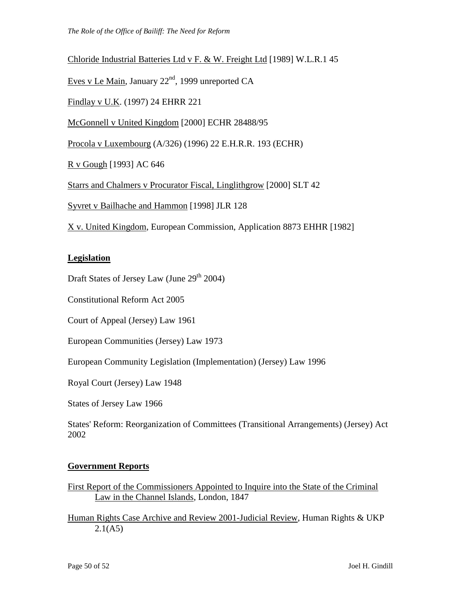#### Chloride Industrial Batteries Ltd v F. & W. Freight Ltd [1989] W.L.R.1 45

Eves v Le Main, January 22<sup>nd</sup>, 1999 unreported CA

Findlay v U.K. (1997) 24 EHRR 221

McGonnell v United Kingdom [2000] ECHR 28488/95

Procola v Luxembourg (A/326) (1996) 22 E.H.R.R. 193 (ECHR)

R v Gough [1993] AC 646

Starrs and Chalmers v Procurator Fiscal, Linglithgrow [2000] SLT 42

Syvret v Bailhache and Hammon [1998] JLR 128

X v. United Kingdom, European Commission, Application 8873 EHHR [1982]

#### **Legislation**

Draft States of Jersey Law (June  $29<sup>th</sup> 2004$ )

Constitutional Reform Act 2005

Court of Appeal (Jersey) Law 1961

European Communities (Jersey) Law 1973

European Community Legislation (Implementation) (Jersey) Law 1996

Royal Court (Jersey) Law 1948

States of Jersey Law 1966

States' Reform: Reorganization of Committees (Transitional Arrangements) (Jersey) Act 2002

#### **Government Reports**

First Report of the Commissioners Appointed to Inquire into the State of the Criminal Law in the Channel Islands, London, 1847

Human Rights Case Archive and Review 2001-Judicial Review, Human Rights & UKP  $2.1(A5)$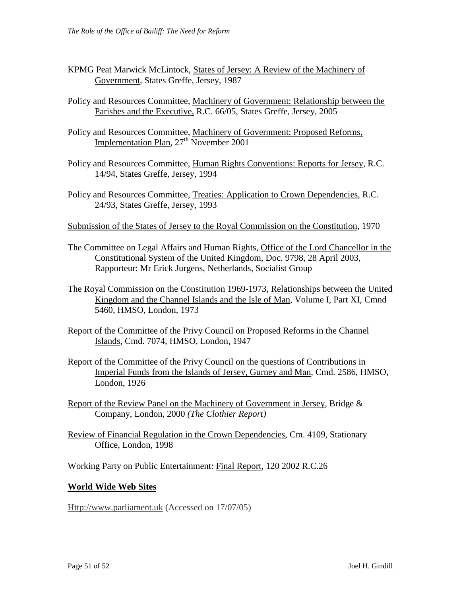- KPMG Peat Marwick McLintock, States of Jersey: A Review of the Machinery of Government, States Greffe, Jersey, 1987
- Policy and Resources Committee, Machinery of Government: Relationship between the Parishes and the Executive, R.C. 66/05, States Greffe, Jersey, 2005
- Policy and Resources Committee, Machinery of Government: Proposed Reforms, Implementation Plan,  $27<sup>th</sup>$  November 2001
- Policy and Resources Committee, Human Rights Conventions: Reports for Jersey, R.C. 14/94, States Greffe, Jersey, 1994
- Policy and Resources Committee, Treaties: Application to Crown Dependencies, R.C. 24/93, States Greffe, Jersey, 1993
- Submission of the States of Jersey to the Royal Commission on the Constitution, 1970
- The Committee on Legal Affairs and Human Rights, Office of the Lord Chancellor in the Constitutional System of the United Kingdom*,* Doc. 9798, 28 April 2003, Rapporteur: Mr Erick Jurgens, Netherlands, Socialist Group
- The Royal Commission on the Constitution 1969-1973, Relationships between the United Kingdom and the Channel Islands and the Isle of Man, Volume I, Part XI, Cmnd 5460, HMSO, London, 1973
- Report of the Committee of the Privy Council on Proposed Reforms in the Channel Islands, Cmd. 7074, HMSO, London, 1947
- Report of the Committee of the Privy Council on the questions of Contributions in Imperial Funds from the Islands of Jersey, Gurney and Man, Cmd. 2586, HMSO, London, 1926
- Report of the Review Panel on the Machinery of Government in Jersey, Bridge  $\&$ Company, London, 2000 *(The Clothier Report)*
- Review of Financial Regulation in the Crown Dependencies, Cm. 4109, Stationary Office, London, 1998

Working Party on Public Entertainment: Final Report, 120 2002 R.C.26

#### **World Wide Web Sites**

Http://www.parliament.uk (Accessed on 17/07/05)